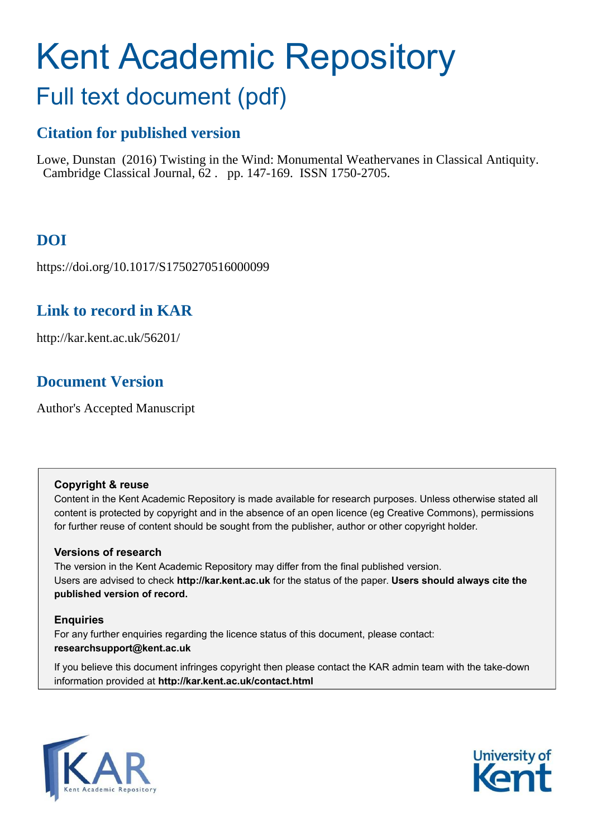# Kent Academic Repository

## Full text document (pdf)

## **Citation for published version**

Lowe, Dunstan (2016) Twisting in the Wind: Monumental Weathervanes in Classical Antiquity. Cambridge Classical Journal, 62 . pp. 147-169. ISSN 1750-2705.

## **DOI**

https://doi.org/10.1017/S1750270516000099

## **Link to record in KAR**

http://kar.kent.ac.uk/56201/

## **Document Version**

Author's Accepted Manuscript

#### **Copyright & reuse**

Content in the Kent Academic Repository is made available for research purposes. Unless otherwise stated all content is protected by copyright and in the absence of an open licence (eg Creative Commons), permissions for further reuse of content should be sought from the publisher, author or other copyright holder.

#### **Versions of research**

The version in the Kent Academic Repository may differ from the final published version. Users are advised to check **http://kar.kent.ac.uk** for the status of the paper. **Users should always cite the published version of record.**

#### **Enquiries**

For any further enquiries regarding the licence status of this document, please contact: **researchsupport@kent.ac.uk**

If you believe this document infringes copyright then please contact the KAR admin team with the take-down information provided at **http://kar.kent.ac.uk/contact.html**



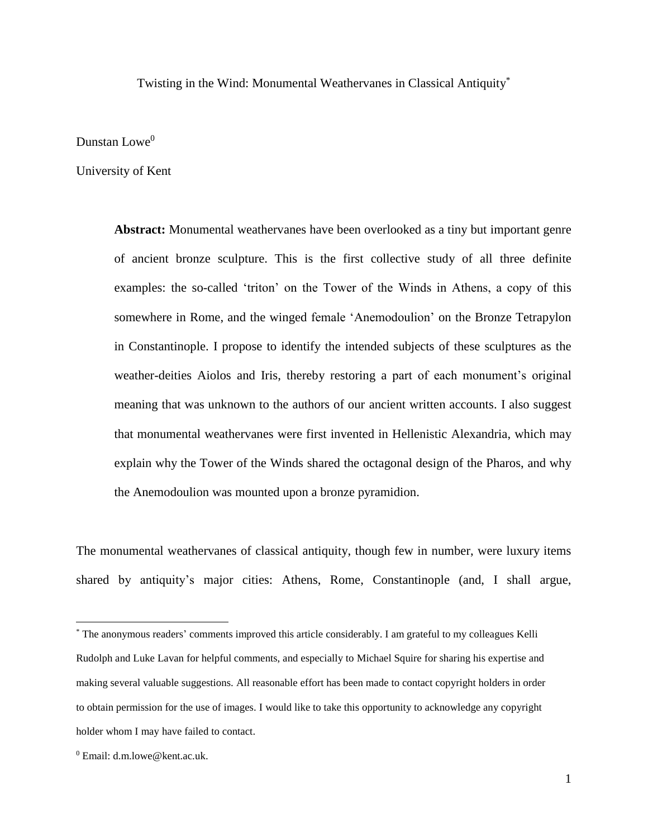Twisting in the Wind: Monumental Weathervanes in Classical Antiquity\*

Dunstan Lowe<sup>0</sup>

University of Kent

**Abstract:** Monumental weathervanes have been overlooked as a tiny but important genre of ancient bronze sculpture. This is the first collective study of all three definite examples: the so-called 'triton' on the Tower of the Winds in Athens, a copy of this somewhere in Rome, and the winged female 'Anemodoulion' on the Bronze Tetrapylon in Constantinople. I propose to identify the intended subjects of these sculptures as the weather-deities Aiolos and Iris, thereby restoring a part of each monument's original meaning that was unknown to the authors of our ancient written accounts. I also suggest that monumental weathervanes were first invented in Hellenistic Alexandria, which may explain why the Tower of the Winds shared the octagonal design of the Pharos, and why the Anemodoulion was mounted upon a bronze pyramidion.

The monumental weathervanes of classical antiquity, though few in number, were luxury items shared by antiquity's major cities: Athens, Rome, Constantinople (and, I shall argue,

<sup>\*</sup> The anonymous readers' comments improved this article considerably. I am grateful to my colleagues Kelli Rudolph and Luke Lavan for helpful comments, and especially to Michael Squire for sharing his expertise and making several valuable suggestions. All reasonable effort has been made to contact copyright holders in order to obtain permission for the use of images. I would like to take this opportunity to acknowledge any copyright holder whom I may have failed to contact.

 $^0$  Email: d.m.lowe@kent.ac.uk.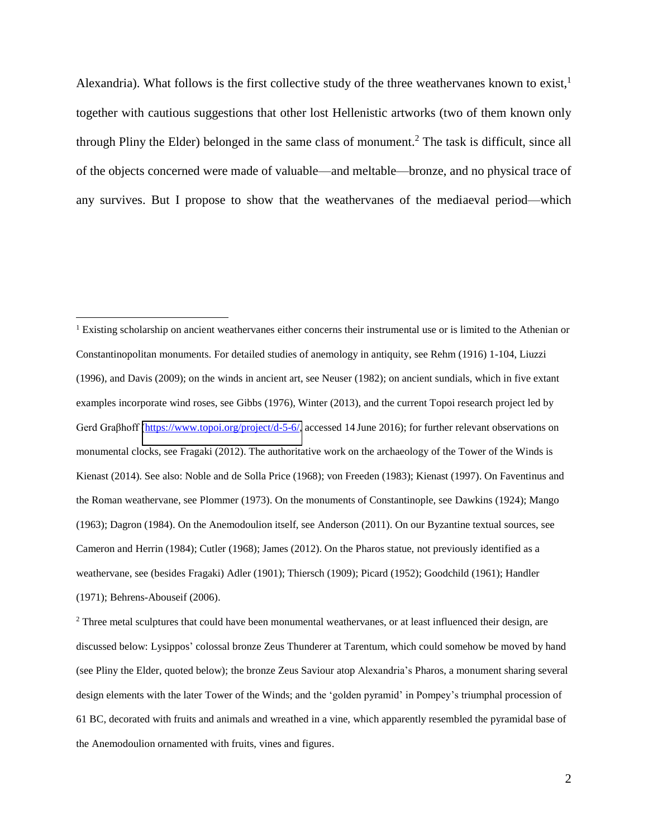Alexandria). What follows is the first collective study of the three weathervanes known to exist,  $\frac{1}{1}$ together with cautious suggestions that other lost Hellenistic artworks (two of them known only through Pliny the Elder) belonged in the same class of monument.<sup>2</sup> The task is difficult, since all of the objects concerned were made of valuable—and meltable—bronze, and no physical trace of any survives. But I propose to show that the weathervanes of the mediaeval period—which

 $\overline{a}$ 

 $2$  Three metal sculptures that could have been monumental weathervanes, or at least influenced their design, are discussed below: Lysippos' colossal bronze Zeus Thunderer at Tarentum, which could somehow be moved by hand (see Pliny the Elder, quoted below); the bronze Zeus Saviour atop Alexandria's Pharos, a monument sharing several design elements with the later Tower of the Winds; and the 'golden pyramid' in Pompey's triumphal procession of 61 BC, decorated with fruits and animals and wreathed in a vine, which apparently resembled the pyramidal base of the Anemodoulion ornamented with fruits, vines and figures.

<sup>&</sup>lt;sup>1</sup> Existing scholarship on ancient weathervanes either concerns their instrumental use or is limited to the Athenian or Constantinopolitan monuments. For detailed studies of anemology in antiquity, see Rehm (1916) 1-104, Liuzzi (1996), and Davis (2009); on the winds in ancient art, see Neuser (1982); on ancient sundials, which in five extant examples incorporate wind roses, see Gibbs (1976), Winter (2013), and the current Topoi research project led by Gerd Graßhoff [\(https://www.topoi.org/project/d-5-6/,](https://www.topoi.org/project/d-5-6/) accessed 14 June 2016); for further relevant observations on monumental clocks, see Fragaki (2012). The authoritative work on the archaeology of the Tower of the Winds is Kienast (2014). See also: Noble and de Solla Price (1968); von Freeden (1983); Kienast (1997). On Faventinus and the Roman weathervane, see Plommer (1973). On the monuments of Constantinople, see Dawkins (1924); Mango (1963); Dagron (1984). On the Anemodoulion itself, see Anderson (2011). On our Byzantine textual sources, see Cameron and Herrin (1984); Cutler (1968); James (2012). On the Pharos statue, not previously identified as a weathervane, see (besides Fragaki) Adler (1901); Thiersch (1909); Picard (1952); Goodchild (1961); Handler (1971); Behrens-Abouseif (2006).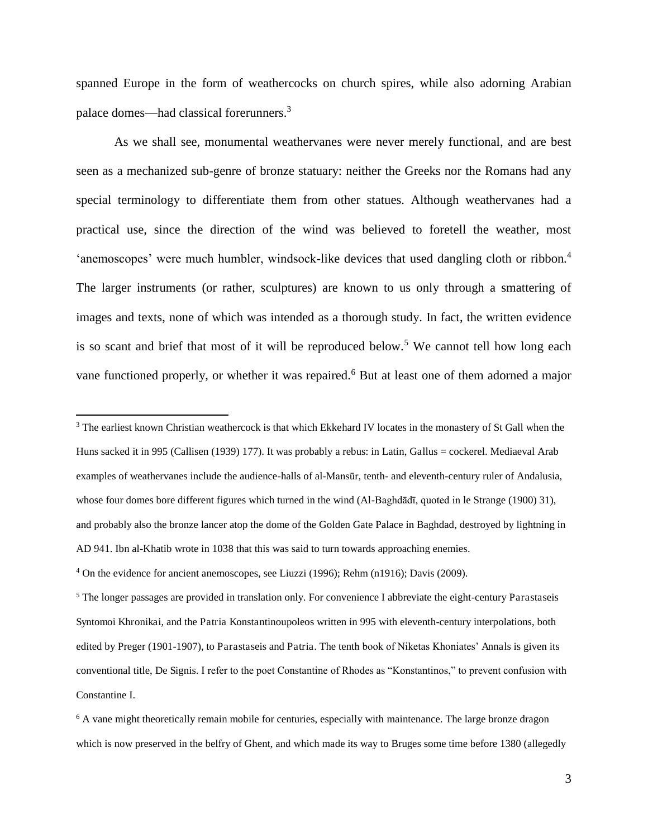spanned Europe in the form of weathercocks on church spires, while also adorning Arabian palace domes—had classical forerunners.<sup>3</sup>

As we shall see, monumental weathervanes were never merely functional, and are best seen as a mechanized sub-genre of bronze statuary: neither the Greeks nor the Romans had any special terminology to differentiate them from other statues. Although weathervanes had a practical use, since the direction of the wind was believed to foretell the weather, most 'anemoscopes' were much humbler, windsock-like devices that used dangling cloth or ribbon.<sup>4</sup> The larger instruments (or rather, sculptures) are known to us only through a smattering of images and texts, none of which was intended as a thorough study. In fact, the written evidence is so scant and brief that most of it will be reproduced below.<sup>5</sup> We cannot tell how long each vane functioned properly, or whether it was repaired.<sup>6</sup> But at least one of them adorned a major

 $3$  The earliest known Christian weathercock is that which Ekkehard IV locates in the monastery of St Gall when the Huns sacked it in 995 (Callisen (1939) 177). It was probably a rebus: in Latin, Gallus = cockerel. Mediaeval Arab examples of weathervanes include the audience-halls of al-Mansūr, tenth- and eleventh-century ruler of Andalusia, whose four domes bore different figures which turned in the wind (Al-Baghdādī, quoted in le Strange (1900) 31), and probably also the bronze lancer atop the dome of the Golden Gate Palace in Baghdad, destroyed by lightning in AD 941. Ibn al-Khatib wrote in 1038 that this was said to turn towards approaching enemies.

<sup>4</sup> On the evidence for ancient anemoscopes, see Liuzzi (1996); Rehm (n1916); Davis (2009).

 $\overline{a}$ 

<sup>5</sup> The longer passages are provided in translation only. For convenience I abbreviate the eight-century Parastaseis Syntomoi Khronikai, and the Patria Konstantinoupoleos written in 995 with eleventh-century interpolations, both edited by Preger (1901-1907), to Parastaseis and Patria. The tenth book of Niketas Khoniates' Annals is given its conventional title, De Signis. I refer to the poet Constantine of Rhodes as "Konstantinos," to prevent confusion with Constantine I.

<sup>&</sup>lt;sup>6</sup> A vane might theoretically remain mobile for centuries, especially with maintenance. The large bronze dragon which is now preserved in the belfry of Ghent, and which made its way to Bruges some time before 1380 (allegedly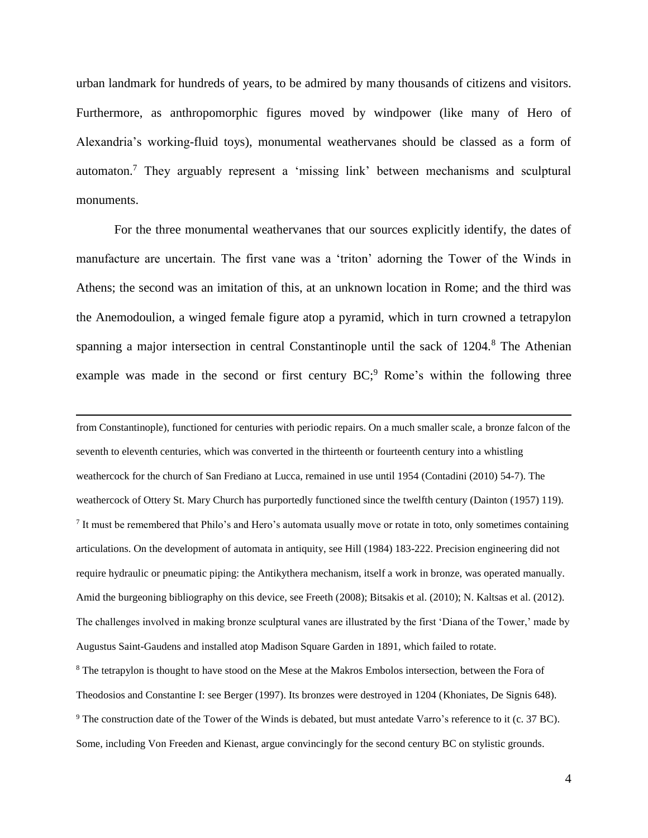urban landmark for hundreds of years, to be admired by many thousands of citizens and visitors. Furthermore, as anthropomorphic figures moved by windpower (like many of Hero of Alexandria's working-fluid toys), monumental weathervanes should be classed as a form of automaton.<sup>7</sup> They arguably represent a 'missing link' between mechanisms and sculptural monuments.

For the three monumental weathervanes that our sources explicitly identify, the dates of manufacture are uncertain. The first vane was a 'triton' adorning the Tower of the Winds in Athens; the second was an imitation of this, at an unknown location in Rome; and the third was the Anemodoulion, a winged female figure atop a pyramid, which in turn crowned a tetrapylon spanning a major intersection in central Constantinople until the sack of 1204.<sup>8</sup> The Athenian example was made in the second or first century  $BC<sub>i</sub><sup>9</sup>$  Rome's within the following three

 $\overline{a}$ 

from Constantinople), functioned for centuries with periodic repairs. On a much smaller scale, a bronze falcon of the seventh to eleventh centuries, which was converted in the thirteenth or fourteenth century into a whistling weathercock for the church of San Frediano at Lucca, remained in use until 1954 (Contadini (2010) 54-7). The weathercock of Ottery St. Mary Church has purportedly functioned since the twelfth century (Dainton (1957) 119). <sup>7</sup> It must be remembered that Philo's and Hero's automata usually move or rotate in toto, only sometimes containing articulations. On the development of automata in antiquity, see Hill (1984) 183-222. Precision engineering did not require hydraulic or pneumatic piping: the Antikythera mechanism, itself a work in bronze, was operated manually. Amid the burgeoning bibliography on this device, see Freeth (2008); Bitsakis et al. (2010); N. Kaltsas et al. (2012). The challenges involved in making bronze sculptural vanes are illustrated by the first 'Diana of the Tower,' made by Augustus Saint-Gaudens and installed atop Madison Square Garden in 1891, which failed to rotate. <sup>8</sup> The tetrapylon is thought to have stood on the Mese at the Makros Embolos intersection, between the Fora of Theodosios and Constantine I: see Berger (1997). Its bronzes were destroyed in 1204 (Khoniates, De Signis 648). <sup>9</sup> The construction date of the Tower of the Winds is debated, but must antedate Varro's reference to it (c. 37 BC). Some, including Von Freeden and Kienast, argue convincingly for the second century BC on stylistic grounds.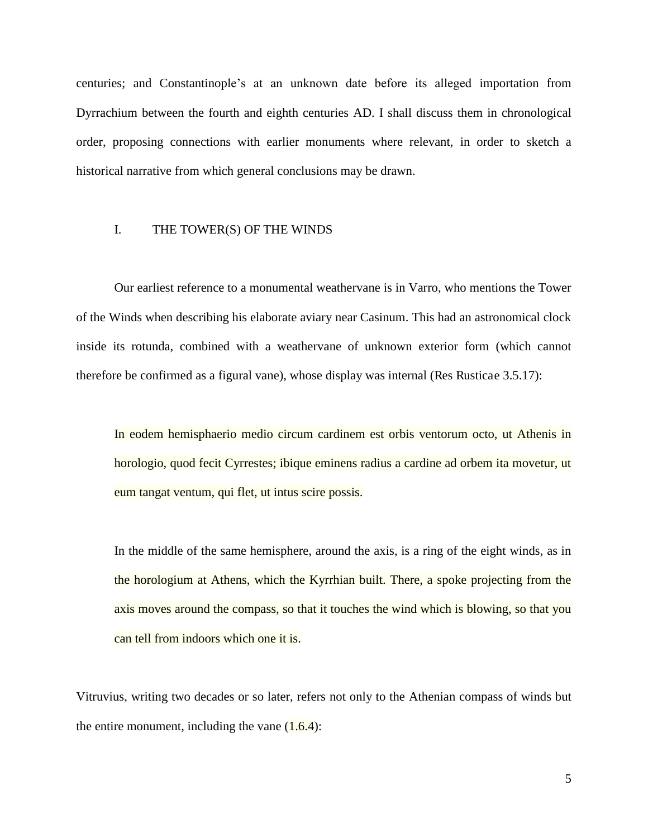centuries; and Constantinople's at an unknown date before its alleged importation from Dyrrachium between the fourth and eighth centuries AD. I shall discuss them in chronological order, proposing connections with earlier monuments where relevant, in order to sketch a historical narrative from which general conclusions may be drawn.

#### I. THE TOWER(S) OF THE WINDS

Our earliest reference to a monumental weathervane is in Varro, who mentions the Tower of the Winds when describing his elaborate aviary near Casinum. This had an astronomical clock inside its rotunda, combined with a weathervane of unknown exterior form (which cannot therefore be confirmed as a figural vane), whose display was internal (Res Rusticae 3.5.17):

In eodem hemisphaerio medio circum cardinem est orbis ventorum octo, ut Athenis in horologio, quod fecit Cyrrestes; ibique eminens radius a cardine ad orbem ita movetur, ut eum tangat ventum, qui flet, ut intus scire possis.

In the middle of the same hemisphere, around the axis, is a ring of the eight winds, as in the horologium at Athens, which the Kyrrhian built. There, a spoke projecting from the axis moves around the compass, so that it touches the wind which is blowing, so that you can tell from indoors which one it is.

Vitruvius, writing two decades or so later, refers not only to the Athenian compass of winds but the entire monument, including the vane  $(1.6.4)$ :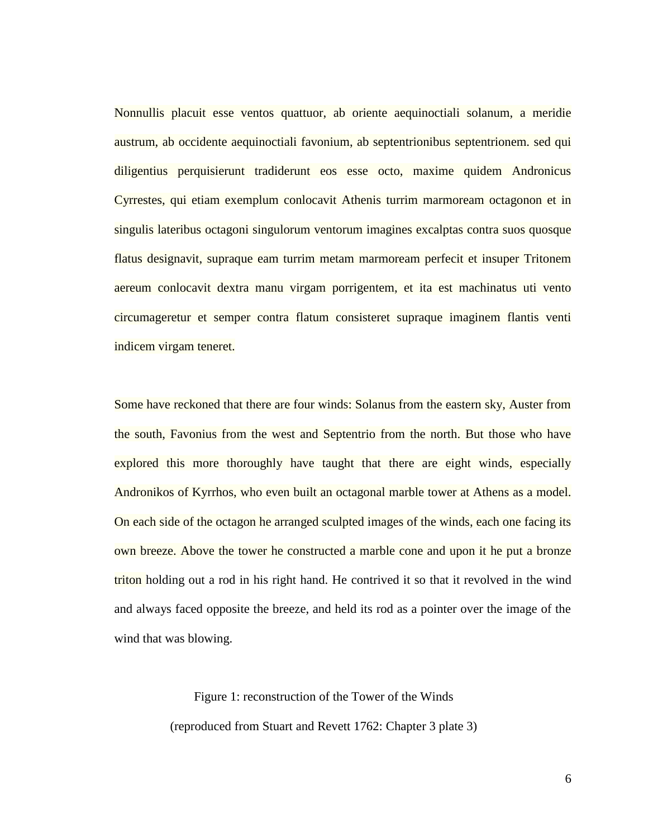Nonnullis placuit esse ventos quattuor, ab oriente aequinoctiali solanum, a meridie austrum, ab occidente aequinoctiali favonium, ab septentrionibus septentrionem. sed qui diligentius perquisierunt tradiderunt eos esse octo, maxime quidem Andronicus Cyrrestes, qui etiam exemplum conlocavit Athenis turrim marmoream octagonon et in singulis lateribus octagoni singulorum ventorum imagines excalptas contra suos quosque flatus designavit, supraque eam turrim metam marmoream perfecit et insuper Tritonem aereum conlocavit dextra manu virgam porrigentem, et ita est machinatus uti vento circumageretur et semper contra flatum consisteret supraque imaginem flantis venti indicem virgam teneret.

Some have reckoned that there are four winds: Solanus from the eastern sky, Auster from the south, Favonius from the west and Septentrio from the north. But those who have explored this more thoroughly have taught that there are eight winds, especially Andronikos of Kyrrhos, who even built an octagonal marble tower at Athens as a model. On each side of the octagon he arranged sculpted images of the winds, each one facing its own breeze. Above the tower he constructed a marble cone and upon it he put a bronze triton holding out a rod in his right hand. He contrived it so that it revolved in the wind and always faced opposite the breeze, and held its rod as a pointer over the image of the wind that was blowing.

> Figure 1: reconstruction of the Tower of the Winds (reproduced from Stuart and Revett 1762: Chapter 3 plate 3)

> > 6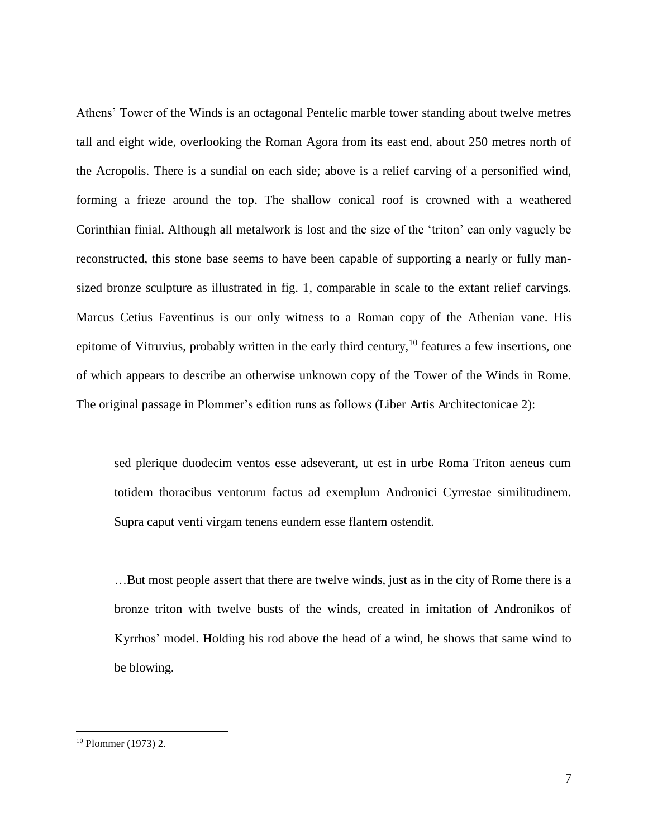Athens' Tower of the Winds is an octagonal Pentelic marble tower standing about twelve metres tall and eight wide, overlooking the Roman Agora from its east end, about 250 metres north of the Acropolis. There is a sundial on each side; above is a relief carving of a personified wind, forming a frieze around the top. The shallow conical roof is crowned with a weathered Corinthian finial. Although all metalwork is lost and the size of the 'triton' can only vaguely be reconstructed, this stone base seems to have been capable of supporting a nearly or fully mansized bronze sculpture as illustrated in fig. 1, comparable in scale to the extant relief carvings. Marcus Cetius Faventinus is our only witness to a Roman copy of the Athenian vane. His epitome of Vitruvius, probably written in the early third century,<sup>10</sup> features a few insertions, one of which appears to describe an otherwise unknown copy of the Tower of the Winds in Rome. The original passage in Plommer's edition runs as follows (Liber Artis Architectonicae 2):

sed plerique duodecim ventos esse adseverant, ut est in urbe Roma Triton aeneus cum totidem thoracibus ventorum factus ad exemplum Andronici Cyrrestae similitudinem. Supra caput venti virgam tenens eundem esse flantem ostendit.

…But most people assert that there are twelve winds, just as in the city of Rome there is a bronze triton with twelve busts of the winds, created in imitation of Andronikos of Kyrrhos' model. Holding his rod above the head of a wind, he shows that same wind to be blowing.

<sup>10</sup> Plommer (1973) 2.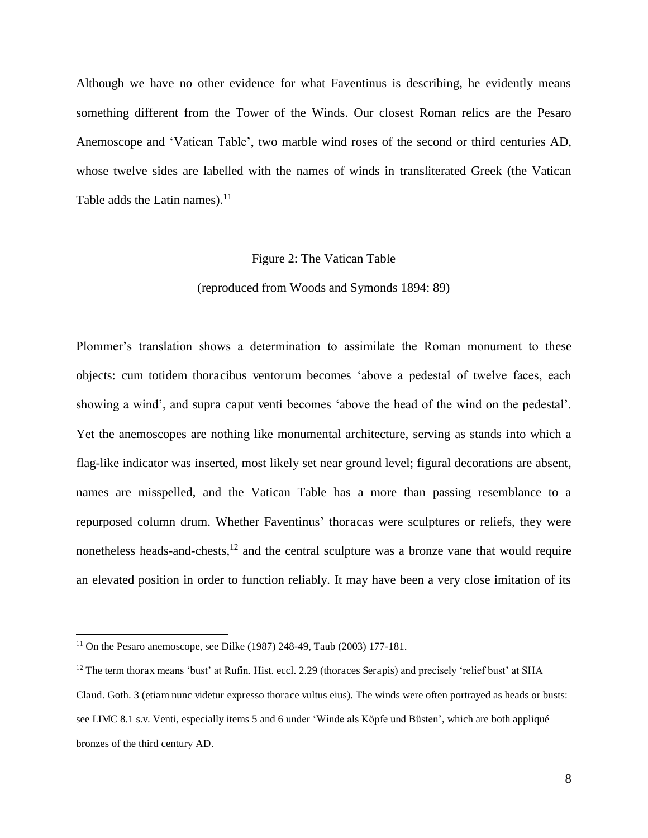Although we have no other evidence for what Faventinus is describing, he evidently means something different from the Tower of the Winds. Our closest Roman relics are the Pesaro Anemoscope and 'Vatican Table', two marble wind roses of the second or third centuries AD, whose twelve sides are labelled with the names of winds in transliterated Greek (the Vatican Table adds the Latin names). $11$ 

#### Figure 2: The Vatican Table

#### (reproduced from Woods and Symonds 1894: 89)

Plommer's translation shows a determination to assimilate the Roman monument to these objects: cum totidem thoracibus ventorum becomes 'above a pedestal of twelve faces, each showing a wind', and supra caput venti becomes 'above the head of the wind on the pedestal'. Yet the anemoscopes are nothing like monumental architecture, serving as stands into which a flag-like indicator was inserted, most likely set near ground level; figural decorations are absent, names are misspelled, and the Vatican Table has a more than passing resemblance to a repurposed column drum. Whether Faventinus' thoracas were sculptures or reliefs, they were nonetheless heads-and-chests, $12$  and the central sculpture was a bronze vane that would require an elevated position in order to function reliably. It may have been a very close imitation of its

<sup>&</sup>lt;sup>11</sup> On the Pesaro anemoscope, see Dilke (1987) 248-49, Taub (2003) 177-181.

 $12$  The term thorax means 'bust' at Rufin. Hist. eccl. 2.29 (thoraces Serapis) and precisely 'relief bust' at SHA Claud. Goth. 3 (etiam nunc videtur expresso thorace vultus eius). The winds were often portrayed as heads or busts: see LIMC 8.1 s.v. Venti, especially items 5 and 6 under 'Winde als Köpfe und Büsten', which are both appliqué bronzes of the third century AD.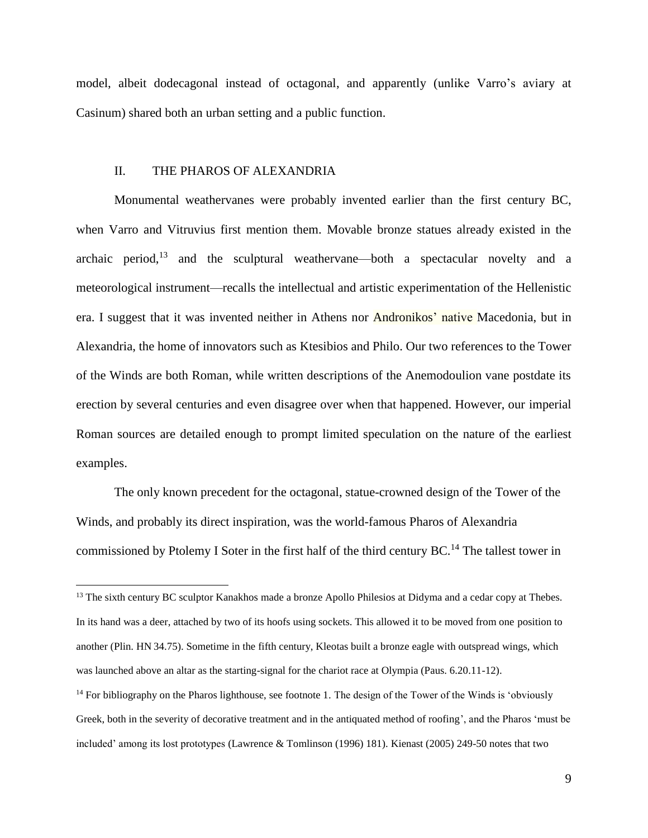model, albeit dodecagonal instead of octagonal, and apparently (unlike Varro's aviary at Casinum) shared both an urban setting and a public function.

#### II. THE PHAROS OF ALEXANDRIA

 $\overline{a}$ 

Monumental weathervanes were probably invented earlier than the first century BC, when Varro and Vitruvius first mention them. Movable bronze statues already existed in the archaic period, $13$  and the sculptural weathervane—both a spectacular novelty and a meteorological instrument—recalls the intellectual and artistic experimentation of the Hellenistic era. I suggest that it was invented neither in Athens nor Andronikos' native Macedonia, but in Alexandria, the home of innovators such as Ktesibios and Philo. Our two references to the Tower of the Winds are both Roman, while written descriptions of the Anemodoulion vane postdate its erection by several centuries and even disagree over when that happened. However, our imperial Roman sources are detailed enough to prompt limited speculation on the nature of the earliest examples.

The only known precedent for the octagonal, statue-crowned design of the Tower of the Winds, and probably its direct inspiration, was the world-famous Pharos of Alexandria commissioned by Ptolemy I Soter in the first half of the third century  $BC<sup>14</sup>$ . The tallest tower in

<sup>&</sup>lt;sup>13</sup> The sixth century BC sculptor Kanakhos made a bronze Apollo Philesios at Didyma and a cedar copy at Thebes. In its hand was a deer, attached by two of its hoofs using sockets. This allowed it to be moved from one position to another (Plin. HN 34.75). Sometime in the fifth century, Kleotas built a bronze eagle with outspread wings, which was launched above an altar as the starting-signal for the chariot race at Olympia (Paus. 6.20.11-12).

<sup>&</sup>lt;sup>14</sup> For bibliography on the Pharos lighthouse, see footnote 1. The design of the Tower of the Winds is 'obviously Greek, both in the severity of decorative treatment and in the antiquated method of roofing', and the Pharos 'must be included' among its lost prototypes (Lawrence & Tomlinson (1996) 181). Kienast (2005) 249-50 notes that two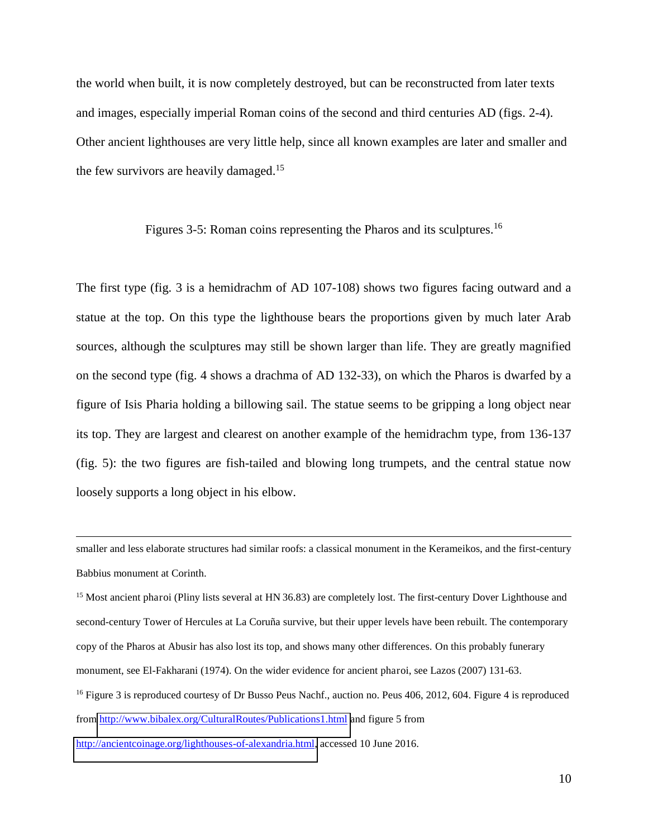the world when built, it is now completely destroyed, but can be reconstructed from later texts and images, especially imperial Roman coins of the second and third centuries AD (figs. 2-4). Other ancient lighthouses are very little help, since all known examples are later and smaller and the few survivors are heavily damaged.<sup>15</sup>

Figures 3-5: Roman coins representing the Pharos and its sculptures.<sup>16</sup>

The first type (fig. 3 is a hemidrachm of AD 107-108) shows two figures facing outward and a statue at the top. On this type the lighthouse bears the proportions given by much later Arab sources, although the sculptures may still be shown larger than life. They are greatly magnified on the second type (fig. 4 shows a drachma of AD 132-33), on which the Pharos is dwarfed by a figure of Isis Pharia holding a billowing sail. The statue seems to be gripping a long object near its top. They are largest and clearest on another example of the hemidrachm type, from 136-137 (fig. 5): the two figures are fish-tailed and blowing long trumpets, and the central statue now loosely supports a long object in his elbow.

smaller and less elaborate structures had similar roofs: a classical monument in the Kerameikos, and the first-century Babbius monument at Corinth.

<sup>15</sup> Most ancient pharoi (Pliny lists several at HN 36.83) are completely lost. The first-century Dover Lighthouse and second-century Tower of Hercules at La Coruña survive, but their upper levels have been rebuilt. The contemporary copy of the Pharos at Abusir has also lost its top, and shows many other differences. On this probably funerary monument, see El-Fakharani (1974). On the wider evidence for ancient pharoi, see Lazos (2007) 131-63.

<sup>16</sup> Figure 3 is reproduced courtesy of Dr Busso Peus Nachf., auction no. Peus 406, 2012, 604. Figure 4 is reproduced from<http://www.bibalex.org/CulturalRoutes/Publications1.html>and figure 5 from

[http://ancientcoinage.org/lighthouses-of-alexandria.html,](http://ancientcoinage.org/lighthouses-of-alexandria.html) accessed 10 June 2016.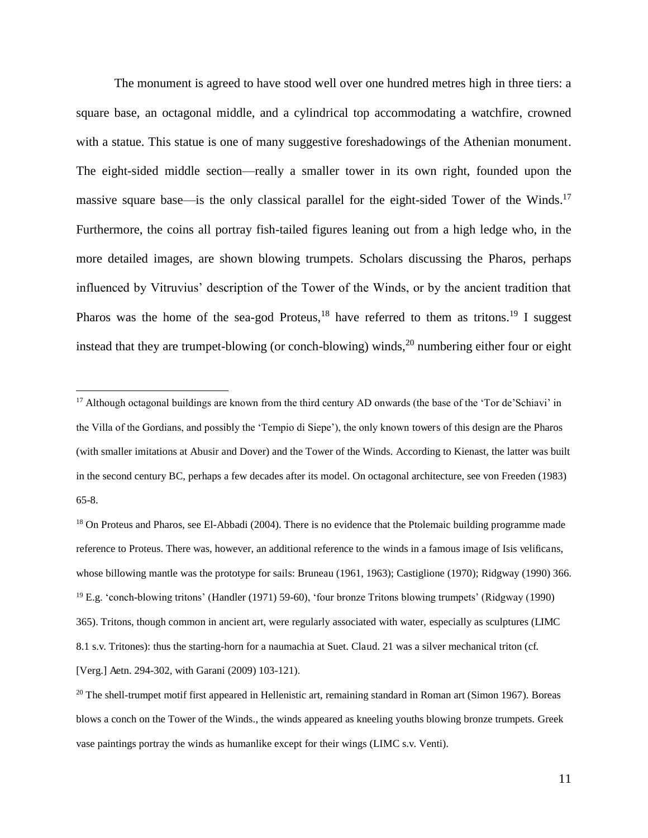The monument is agreed to have stood well over one hundred metres high in three tiers: a square base, an octagonal middle, and a cylindrical top accommodating a watchfire, crowned with a statue. This statue is one of many suggestive foreshadowings of the Athenian monument. The eight-sided middle section—really a smaller tower in its own right, founded upon the massive square base—is the only classical parallel for the eight-sided Tower of the Winds.<sup>17</sup> Furthermore, the coins all portray fish-tailed figures leaning out from a high ledge who, in the more detailed images, are shown blowing trumpets. Scholars discussing the Pharos, perhaps influenced by Vitruvius' description of the Tower of the Winds, or by the ancient tradition that Pharos was the home of the sea-god Proteus,<sup>18</sup> have referred to them as tritons.<sup>19</sup> I suggest instead that they are trumpet-blowing (or conch-blowing) winds, $^{20}$  numbering either four or eight

<sup>&</sup>lt;sup>17</sup> Although octagonal buildings are known from the third century AD onwards (the base of the 'Tor de'Schiavi' in the Villa of the Gordians, and possibly the 'Tempio di Siepe'), the only known towers of this design are the Pharos (with smaller imitations at Abusir and Dover) and the Tower of the Winds. According to Kienast, the latter was built in the second century BC, perhaps a few decades after its model. On octagonal architecture, see von Freeden (1983) 65-8.

<sup>&</sup>lt;sup>18</sup> On Proteus and Pharos, see El-Abbadi (2004). There is no evidence that the Ptolemaic building programme made reference to Proteus. There was, however, an additional reference to the winds in a famous image of Isis velificans, whose billowing mantle was the prototype for sails: Bruneau (1961, 1963); Castiglione (1970); Ridgway (1990) 366. <sup>19</sup> E.g. 'conch-blowing tritons' (Handler (1971) 59-60), 'four bronze Tritons blowing trumpets' (Ridgway (1990) 365). Tritons, though common in ancient art, were regularly associated with water, especially as sculptures (LIMC 8.1 s.v. Tritones): thus the starting-horn for a naumachia at Suet. Claud. 21 was a silver mechanical triton (cf. [Verg.] Aetn. 294-302, with Garani (2009) 103-121).

 $20$  The shell-trumpet motif first appeared in Hellenistic art, remaining standard in Roman art (Simon 1967). Boreas blows a conch on the Tower of the Winds., the winds appeared as kneeling youths blowing bronze trumpets. Greek vase paintings portray the winds as humanlike except for their wings (LIMC s.v. Venti).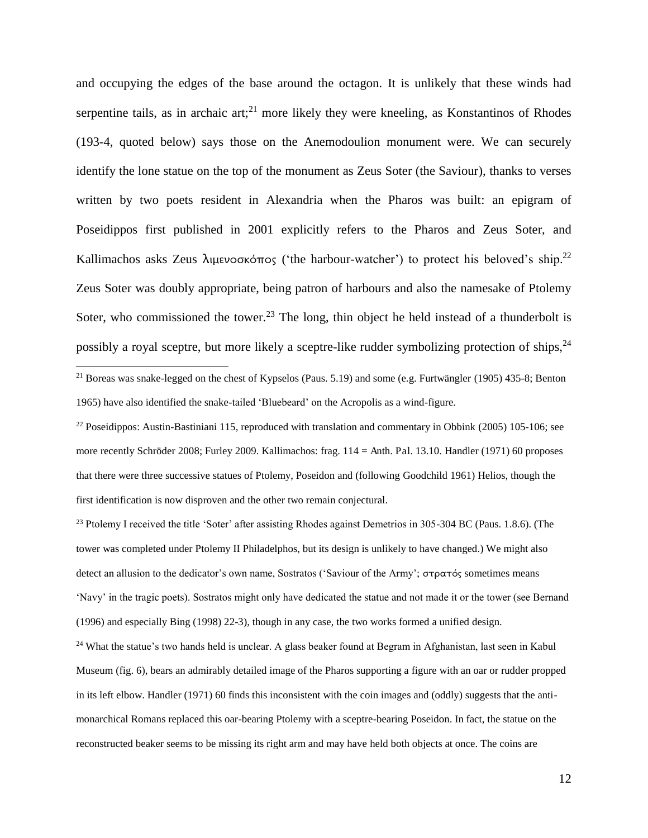and occupying the edges of the base around the octagon. It is unlikely that these winds had serpentine tails, as in archaic  $art;^{21}$  more likely they were kneeling, as Konstantinos of Rhodes (193-4, quoted below) says those on the Anemodoulion monument were. We can securely identify the lone statue on the top of the monument as Zeus Soter (the Saviour), thanks to verses written by two poets resident in Alexandria when the Pharos was built: an epigram of Poseidippos first published in 2001 explicitly refers to the Pharos and Zeus Soter, and Kallimachos asks Zeus  $\lambda$ ιμενοσκόπος ('the harbour-watcher') to protect his beloved's ship.<sup>22</sup> Zeus Soter was doubly appropriate, being patron of harbours and also the namesake of Ptolemy Soter, who commissioned the tower.<sup>23</sup> The long, thin object he held instead of a thunderbolt is possibly a royal sceptre, but more likely a sceptre-like rudder symbolizing protection of ships,<sup>24</sup>

<sup>21</sup> Boreas was snake-legged on the chest of Kypselos (Paus. 5.19) and some (e.g. Furtwängler (1905) 435-8; Benton 1965) have also identified the snake-tailed 'Bluebeard' on the Acropolis as a wind-figure.

 $\overline{a}$ 

 $^{22}$  Poseidippos: Austin-Bastiniani 115, reproduced with translation and commentary in Obbink (2005) 105-106; see more recently Schröder 2008; Furley 2009. Kallimachos: frag. 114 = Anth. Pal. 13.10. Handler (1971) 60 proposes that there were three successive statues of Ptolemy, Poseidon and (following Goodchild 1961) Helios, though the first identification is now disproven and the other two remain conjectural.

<sup>23</sup> Ptolemy I received the title 'Soter' after assisting Rhodes against Demetrios in 305-304 BC (Paus. 1.8.6). (The tower was completed under Ptolemy II Philadelphos, but its design is unlikely to have changed.) We might also detect an allusion to the dedicator's own name, Sostratos ('Saviour of the Army'; στρατός sometimes means 'Navy' in the tragic poets). Sostratos might only have dedicated the statue and not made it or the tower (see Bernand (1996) and especially Bing (1998) 22-3), though in any case, the two works formed a unified design.

<sup>24</sup> What the statue's two hands held is unclear. A glass beaker found at Begram in Afghanistan, last seen in Kabul Museum (fig. 6), bears an admirably detailed image of the Pharos supporting a figure with an oar or rudder propped in its left elbow. Handler (1971) 60 finds this inconsistent with the coin images and (oddly) suggests that the antimonarchical Romans replaced this oar-bearing Ptolemy with a sceptre-bearing Poseidon. In fact, the statue on the reconstructed beaker seems to be missing its right arm and may have held both objects at once. The coins are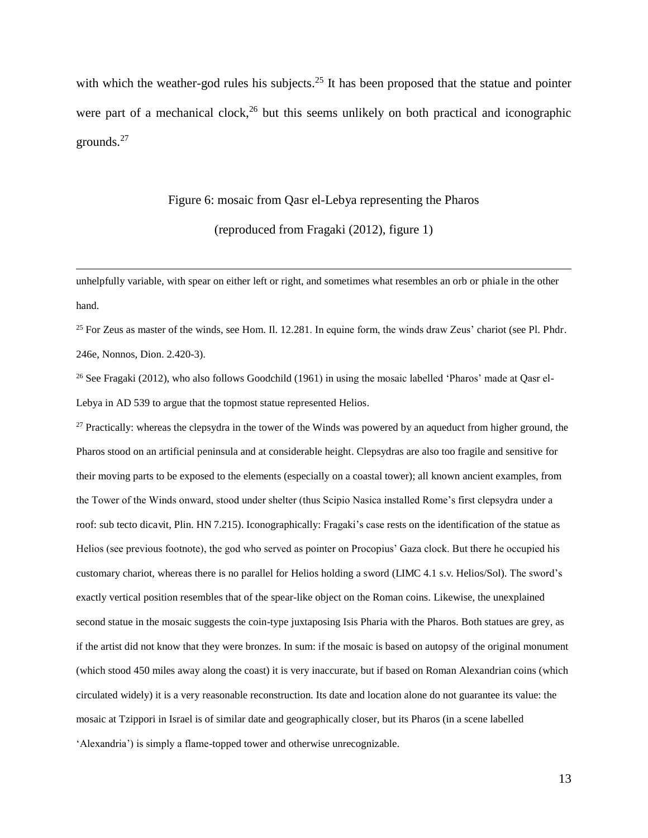with which the weather-god rules his subjects.<sup>25</sup> It has been proposed that the statue and pointer were part of a mechanical clock,<sup>26</sup> but this seems unlikely on both practical and iconographic grounds.<sup>27</sup>

## Figure 6: mosaic from Qasr el-Lebya representing the Pharos

(reproduced from Fragaki (2012), figure 1)

unhelpfully variable, with spear on either left or right, and sometimes what resembles an orb or phiale in the other hand.

 $\overline{a}$ 

<sup>25</sup> For Zeus as master of the winds, see Hom. Il. 12.281. In equine form, the winds draw Zeus' chariot (see Pl. Phdr. 246e, Nonnos, Dion. 2.420-3).

<sup>26</sup> See Fragaki (2012), who also follows Goodchild (1961) in using the mosaic labelled 'Pharos' made at Qasr el-Lebya in AD 539 to argue that the topmost statue represented Helios.

<sup>27</sup> Practically: whereas the clepsydra in the tower of the Winds was powered by an aqueduct from higher ground, the Pharos stood on an artificial peninsula and at considerable height. Clepsydras are also too fragile and sensitive for their moving parts to be exposed to the elements (especially on a coastal tower); all known ancient examples, from the Tower of the Winds onward, stood under shelter (thus Scipio Nasica installed Rome's first clepsydra under a roof: sub tecto dicavit, Plin. HN 7.215). Iconographically: Fragaki's case rests on the identification of the statue as Helios (see previous footnote), the god who served as pointer on Procopius' Gaza clock. But there he occupied his customary chariot, whereas there is no parallel for Helios holding a sword (LIMC 4.1 s.v. Helios/Sol). The sword's exactly vertical position resembles that of the spear-like object on the Roman coins. Likewise, the unexplained second statue in the mosaic suggests the coin-type juxtaposing Isis Pharia with the Pharos. Both statues are grey, as if the artist did not know that they were bronzes. In sum: if the mosaic is based on autopsy of the original monument (which stood 450 miles away along the coast) it is very inaccurate, but if based on Roman Alexandrian coins (which circulated widely) it is a very reasonable reconstruction. Its date and location alone do not guarantee its value: the mosaic at Tzippori in Israel is of similar date and geographically closer, but its Pharos (in a scene labelled 'Alexandria') is simply a flame-topped tower and otherwise unrecognizable.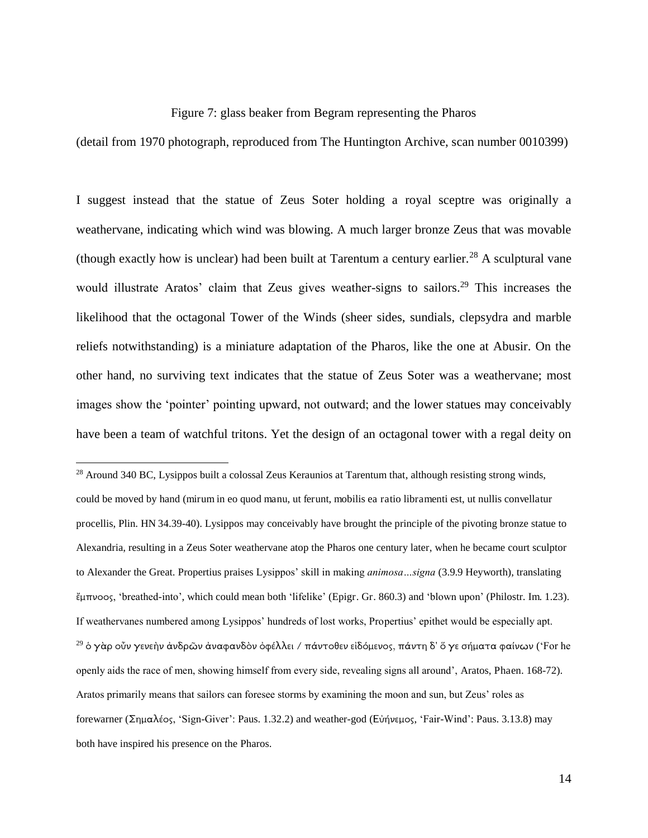#### Figure 7: glass beaker from Begram representing the Pharos

(detail from 1970 photograph, reproduced from The Huntington Archive, scan number 0010399)

I suggest instead that the statue of Zeus Soter holding a royal sceptre was originally a weathervane, indicating which wind was blowing. A much larger bronze Zeus that was movable (though exactly how is unclear) had been built at Tarentum a century earlier.<sup>28</sup> A sculptural vane would illustrate Aratos' claim that Zeus gives weather-signs to sailors.<sup>29</sup> This increases the likelihood that the octagonal Tower of the Winds (sheer sides, sundials, clepsydra and marble reliefs notwithstanding) is a miniature adaptation of the Pharos, like the one at Abusir. On the other hand, no surviving text indicates that the statue of Zeus Soter was a weathervane; most images show the 'pointer' pointing upward, not outward; and the lower statues may conceivably have been a team of watchful tritons. Yet the design of an octagonal tower with a regal deity on

<sup>&</sup>lt;sup>28</sup> Around 340 BC, Lysippos built a colossal Zeus Keraunios at Tarentum that, although resisting strong winds, could be moved by hand (mirum in eo quod manu, ut ferunt, mobilis ea ratio libramenti est, ut nullis convellatur procellis, Plin. HN 34.39-40). Lysippos may conceivably have brought the principle of the pivoting bronze statue to Alexandria, resulting in a Zeus Soter weathervane atop the Pharos one century later, when he became court sculptor to Alexander the Great. Propertius praises Lysippos' skill in making *animosa…signa* (3.9.9 Heyworth), translating  $\ell_{\rm H}$ πνοος, 'breathed-into', which could mean both 'lifelike' (Epigr. Gr. 860.3) and 'blown upon' (Philostr. Im. 1.23). If weathervanes numbered among Lysippos' hundreds of lost works, Propertius' epithet would be especially apt. <sup>29</sup> ὁ γὰρ οὖν γενεὴν ἀνδρῶν ἀναφανδὸν ὀφέλλει / πάντοθεν εἰδόμενος, πάντη δ' ὅ γε σήματα φαίνων ('For he openly aids the race of men, showing himself from every side, revealing signs all around', Aratos, Phaen. 168-72). Aratos primarily means that sailors can foresee storms by examining the moon and sun, but Zeus' roles as forewarner (Σημαλέος, 'Sign-Giver': Paus. 1.32.2) and weather-god (Εὐήνεμος, 'Fair-Wind': Paus. 3.13.8) may both have inspired his presence on the Pharos.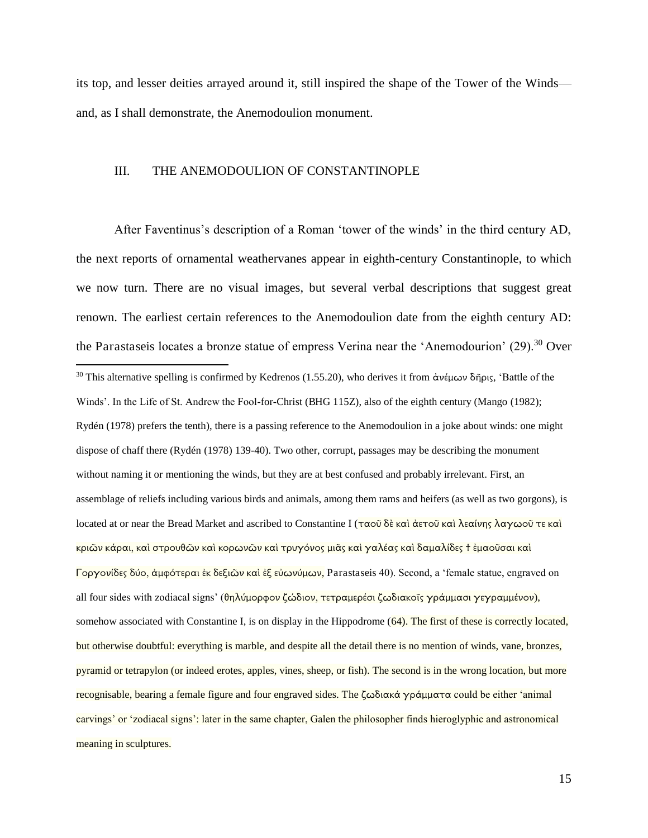its top, and lesser deities arrayed around it, still inspired the shape of the Tower of the Winds and, as I shall demonstrate, the Anemodoulion monument.

#### III. THE ANEMODOULION OF CONSTANTINOPLE

After Faventinus's description of a Roman 'tower of the winds' in the third century AD, the next reports of ornamental weathervanes appear in eighth-century Constantinople, to which we now turn. There are no visual images, but several verbal descriptions that suggest great renown. The earliest certain references to the Anemodoulion date from the eighth century AD: the Parastaseis locates a bronze statue of empress Verina near the 'Anemodourion' (29).<sup>30</sup> Over  $\overline{a}$ <sup>30</sup> This alternative spelling is confirmed by Kedrenos (1.55.20), who derives it from  $\dot{\alpha}$   $\dot{\alpha}$   $\dot{\beta}$   $\dot{\beta}$ , 'Battle of the Winds'. In the Life of St. Andrew the Fool-for-Christ (BHG 115Z), also of the eighth century (Mango (1982); Rydén (1978) prefers the tenth), there is a passing reference to the Anemodoulion in a joke about winds: one might dispose of chaff there (Rydén (1978) 139-40). Two other, corrupt, passages may be describing the monument without naming it or mentioning the winds, but they are at best confused and probably irrelevant. First, an assemblage of reliefs including various birds and animals, among them rams and heifers (as well as two gorgons), is located at or near the Bread Market and ascribed to Constantine I (ταοῦ δὲ καὶ ἀετοῦ καὶ λεαίνης λαγωοῦ τε καὶ <mark>κριῶν κάραι, καὶ στρουθῶν καὶ κορωνῶν καὶ τρυγόνος μιᾶς καὶ γαλέας καὶ δαμαλίδες † ἐμαοῦσαι καὶ</mark> Γοργονίδες δύο, άμφότεραι ἐκ δεξιῶν καὶ ἐξ εὐωνύμων, Parastaseis 40). Second, a 'female statue, engraved on all four sides with zodiacal signs' (θηλύμορφον ζώδιον, τετραμερέσι ζωδιακοῖς γράμμασι γεγραμμένον), somehow associated with Constantine I, is on display in the Hippodrome (64). The first of these is correctly located, but otherwise doubtful: everything is marble, and despite all the detail there is no mention of winds, vane, bronzes, pyramid or tetrapylon (or indeed erotes, apples, vines, sheep, or fish). The second is in the wrong location, but more recognisable, bearing a female figure and four engraved sides. The  $\zeta$ ωδιακά γράμματα could be either 'animal carvings' or 'zodiacal signs': later in the same chapter, Galen the philosopher finds hieroglyphic and astronomical meaning in sculptures.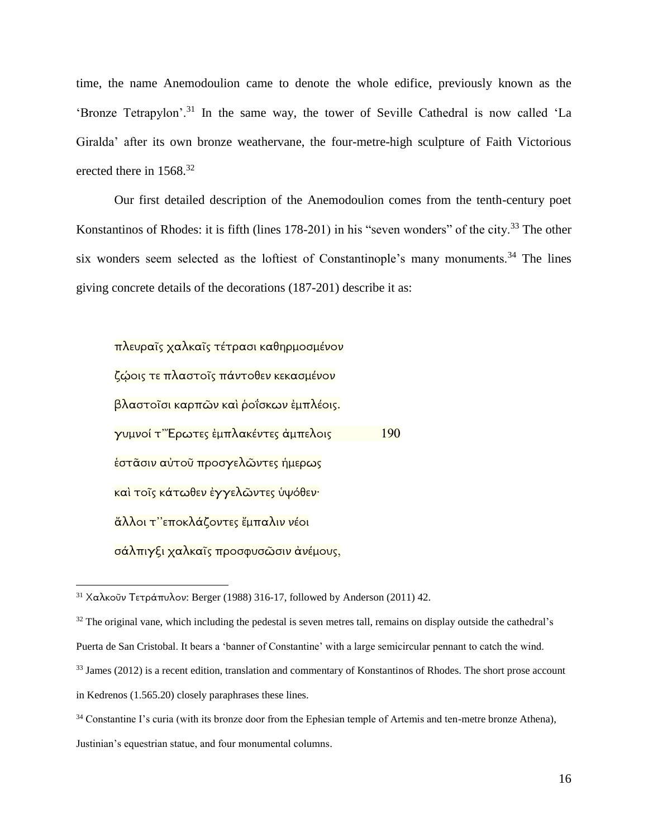time, the name Anemodoulion came to denote the whole edifice, previously known as the 'Bronze Tetrapylon'.<sup>31</sup> In the same way, the tower of Seville Cathedral is now called 'La Giralda' after its own bronze weathervane, the four-metre-high sculpture of Faith Victorious erected there in  $1568$ <sup>32</sup>

Our first detailed description of the Anemodoulion comes from the tenth-century poet Konstantinos of Rhodes: it is fifth (lines 178-201) in his "seven wonders" of the city.<sup>33</sup> The other six wonders seem selected as the loftiest of Constantinople's many monuments.<sup>34</sup> The lines giving concrete details of the decorations (187-201) describe it as:

πλευραῖς χαλκαῖς τέτρασι καθηρμοσμένον ζώοις τε πλαστοῖς πάντοθεν κεκασμένον βλαστοῖσι καρπῶν καὶ ῥοΐσκων ἐμπλέοις. γυμνοί τ‴Ερωτες ἐμπλακέντες ἀμπελοις 190 έστᾶσιν αὐτοῦ προσγελῶντες ἡμερως και τοΐς κάτωθεν έγγελῶντες υψόθεν· άλλοι τ"εποκλάζοντες έμπαλιν νέοι σάλπιγξι χαλκαΐς προσφυσῶσιν ἀνέμους,

 $31$  Χαλκοῦν Τετράπυλον: Berger (1988) 316-17, followed by Anderson (2011) 42.

<sup>&</sup>lt;sup>32</sup> The original vane, which including the pedestal is seven metres tall, remains on display outside the cathedral's

Puerta de San Cristobal. It bears a 'banner of Constantine' with a large semicircular pennant to catch the wind.

<sup>&</sup>lt;sup>33</sup> James (2012) is a recent edition, translation and commentary of Konstantinos of Rhodes. The short prose account

in Kedrenos (1.565.20) closely paraphrases these lines.

<sup>&</sup>lt;sup>34</sup> Constantine I's curia (with its bronze door from the Ephesian temple of Artemis and ten-metre bronze Athena),

Justinian's equestrian statue, and four monumental columns.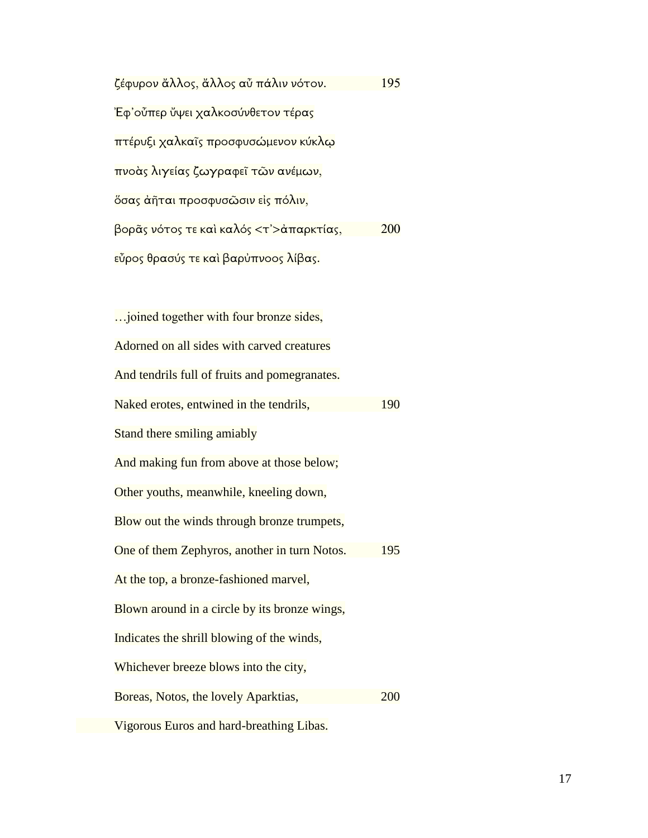| ζέφυρον ἄλλος, ἄλλος αὖ πάλιν νότον.    | 195        |
|-----------------------------------------|------------|
| Ἐφ'οὖπερ ὔψει χαλκοσύνθετον τέρας       |            |
| πτέρυξι χαλκαῖς προσφυσώμενον κύκλω     |            |
| πνοὰς λιγείας ζωγραφεῖ τῶν ανέμων,      |            |
| όσας ἀῆται προσφυσῶσιν εἰς πόλιν,       |            |
| βορᾶς νότος τε καὶ καλός <τ'>ἀπαρκτίας, | <b>200</b> |
| εὖρος θρασύς τε καὶ βαρὐπνοος λίβας.    |            |

| joined together with four bronze sides,       |     |
|-----------------------------------------------|-----|
| Adorned on all sides with carved creatures    |     |
| And tendrils full of fruits and pomegranates. |     |
| Naked erotes, entwined in the tendrils,       | 190 |
| Stand there smiling amiably                   |     |
| And making fun from above at those below;     |     |
| Other youths, meanwhile, kneeling down,       |     |
| Blow out the winds through bronze trumpets,   |     |
| One of them Zephyros, another in turn Notos.  | 195 |
| At the top, a bronze-fashioned marvel,        |     |
| Blown around in a circle by its bronze wings, |     |
| Indicates the shrill blowing of the winds,    |     |
| Whichever breeze blows into the city,         |     |
| Boreas, Notos, the lovely Aparktias,          | 200 |
| Vigorous Euros and hard-breathing Libas.      |     |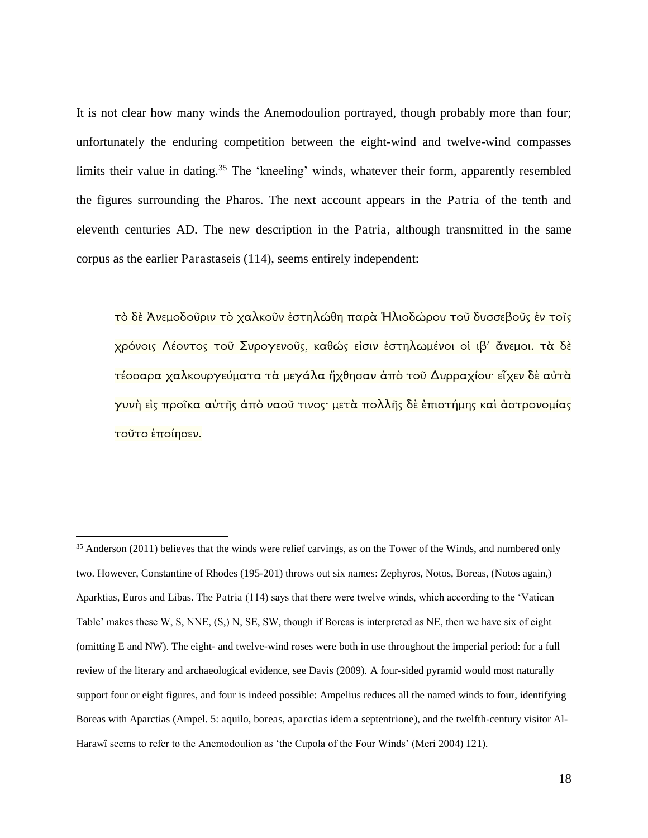It is not clear how many winds the Anemodoulion portrayed, though probably more than four; unfortunately the enduring competition between the eight-wind and twelve-wind compasses limits their value in dating.<sup>35</sup> The 'kneeling' winds, whatever their form, apparently resembled the figures surrounding the Pharos. The next account appears in the Patria of the tenth and eleventh centuries AD. The new description in the Patria, although transmitted in the same corpus as the earlier Parastaseis (114), seems entirely independent:

τό δε Ανεμοδοῦριν τὸ χαλκοῦν ἐστηλώθη παρὰ Ηλιοδώρου τοῦ δυσσεβοῦς ἐν τοῖς χρόνοις Λέοντος τοῦ Συρογενοῦς, καθώς εἰσιν ἐστηλωμένοι οἱ ιβ' ἄνεμοι. τὰ δὲ τέσσαρα χαλκουργεύματα τα μεγάλα ἤχθησαν από τοῦ Δυρραχίου· εἶχεν δε αὐτα γυνὴ εἰς προῖκα αὐτῆς ἀπὸ ναοῦ τινος∙ μετὰ πολλῆς δὲ ἐπιστήμης καὶ ἀστρονομίας τοῦτο ἐποίησεν.

<sup>&</sup>lt;sup>35</sup> Anderson (2011) believes that the winds were relief carvings, as on the Tower of the Winds, and numbered only two. However, Constantine of Rhodes (195-201) throws out six names: Zephyros, Notos, Boreas, (Notos again,) Aparktias, Euros and Libas. The Patria (114) says that there were twelve winds, which according to the 'Vatican Table' makes these W, S, NNE, (S,) N, SE, SW, though if Boreas is interpreted as NE, then we have six of eight (omitting E and NW). The eight- and twelve-wind roses were both in use throughout the imperial period: for a full review of the literary and archaeological evidence, see Davis (2009). A four-sided pyramid would most naturally support four or eight figures, and four is indeed possible: Ampelius reduces all the named winds to four, identifying Boreas with Aparctias (Ampel. 5: aquilo, boreas, aparctias idem a septentrione), and the twelfth-century visitor Al-Harawî seems to refer to the Anemodoulion as 'the Cupola of the Four Winds' (Meri 2004) 121).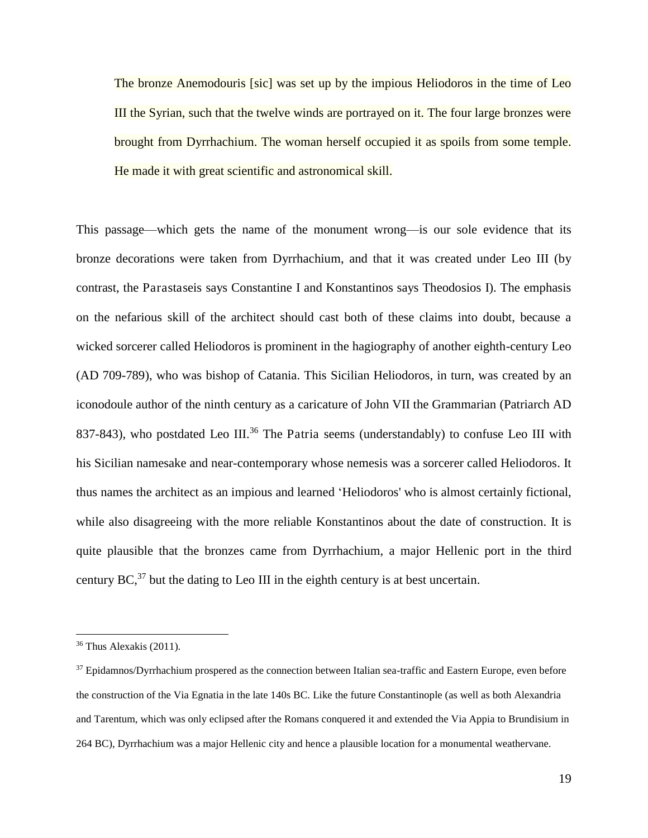The bronze Anemodouris [sic] was set up by the impious Heliodoros in the time of Leo III the Syrian, such that the twelve winds are portrayed on it. The four large bronzes were brought from Dyrrhachium. The woman herself occupied it as spoils from some temple. He made it with great scientific and astronomical skill.

This passage—which gets the name of the monument wrong—is our sole evidence that its bronze decorations were taken from Dyrrhachium, and that it was created under Leo III (by contrast, the Parastaseis says Constantine I and Konstantinos says Theodosios I). The emphasis on the nefarious skill of the architect should cast both of these claims into doubt, because a wicked sorcerer called Heliodoros is prominent in the hagiography of another eighth-century Leo (AD 709-789), who was bishop of Catania. This Sicilian Heliodoros, in turn, was created by an iconodoule author of the ninth century as a caricature of John VII the Grammarian (Patriarch AD 837-843), who postdated Leo III.<sup>36</sup> The Patria seems (understandably) to confuse Leo III with his Sicilian namesake and near-contemporary whose nemesis was a sorcerer called Heliodoros. It thus names the architect as an impious and learned 'Heliodoros' who is almost certainly fictional, while also disagreeing with the more reliable Konstantinos about the date of construction. It is quite plausible that the bronzes came from Dyrrhachium, a major Hellenic port in the third century  $BC<sub>1</sub><sup>37</sup>$  but the dating to Leo III in the eighth century is at best uncertain.

 $36$  Thus Alexakis (2011).

<sup>37</sup> Epidamnos/Dyrrhachium prospered as the connection between Italian sea-traffic and Eastern Europe, even before the construction of the Via Egnatia in the late 140s BC. Like the future Constantinople (as well as both Alexandria and Tarentum, which was only eclipsed after the Romans conquered it and extended the Via Appia to Brundisium in 264 BC), Dyrrhachium was a major Hellenic city and hence a plausible location for a monumental weathervane.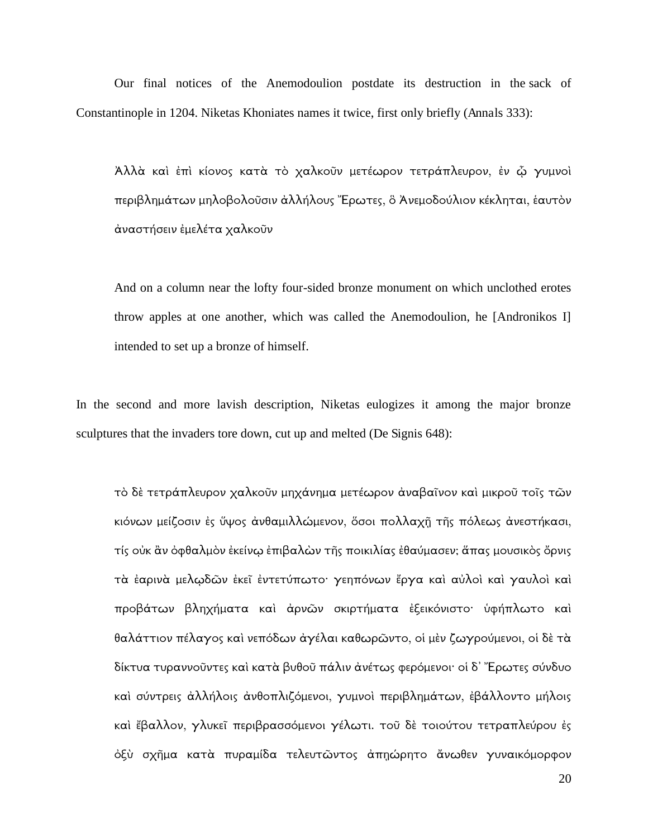Our final notices of the Anemodoulion postdate its destruction in the sack of Constantinople in 1204. Niketas Khoniates names it twice, first only briefly (Annals 333):

Άλλὰ καὶ ἐπὶ κίονος κατὰ τὸ χαλκοῦν μετέωρον τετράπλευρον, ἐν ῷ γυμνοὶ περιβλημάτων μηλοβολοῦσιν ἀλλήλους "Ερωτες, ὃ Ἀνεμοδούλιον κέκληται, ἑαυτὸν άναστήσειν ἐμελέτα χαλκοῦν

And on a column near the lofty four-sided bronze monument on which unclothed erotes throw apples at one another, which was called the Anemodoulion, he [Andronikos I] intended to set up a bronze of himself.

In the second and more lavish description, Niketas eulogizes it among the major bronze sculptures that the invaders tore down, cut up and melted (De Signis 648):

τὸ δὲ τετράπλευρον χαλκοῦν μηχάνημα μετέωρον ἀναβαῖνον καὶ μικροῦ τοῖς τῶν κιόνων μείζοσιν ἐς ὕψος ἀνθαμιλλώμενον, ὅσοι πολλαχῆ τῆς πόλεως ἀνεστήκασι, τίς οὐκ ἂν ὀφθαλμὸν ἐκείνω ἐπιβαλὼν τῆς ποικιλίας ἐθαύμασεν; ἅπας μουσικὸς ὄρνις τὰ ἐαρινὰ μελωδῶν ἐκεῖ ἐντετύπωτο· γεηπόνων ἔργα καὶ αὐλοὶ καὶ γαυλοὶ καὶ προβάτων βληχήματα καὶ ἀρνῶν σκιρτήματα ἐξεικόνιστο· ὑφήπλωτο καὶ θαλάττιον πέλαγος καὶ νεπόδων ἀγέλαι καθωρῶντο, οἱ μὲν ζωγρούμενοι, οἱ δὲ τὰ δίκτυα τυραννοῦντες καὶ κατὰ βυθοῦ πάλιν ἀνέτως φερόμενοι· οἱ δ᾽ Ἔρωτες σύνδυο καὶ σύντρεις ἀλλήλοις ἀνθοπλιζόμενοι, γυμνοὶ περιβλημάτων, ἐβάλλοντο μήλοις καὶ ἔβαλλον, γλυκεῖ περιβρασσόμενοι γέλωτι. τοῦ δὲ τοιούτου τετραπλεύρου ἐς όξὺ σχῆμα κατὰ πυραμίδα τελευτῶντος ἀπηώρητο ἄνωθεν γυναικόμορφον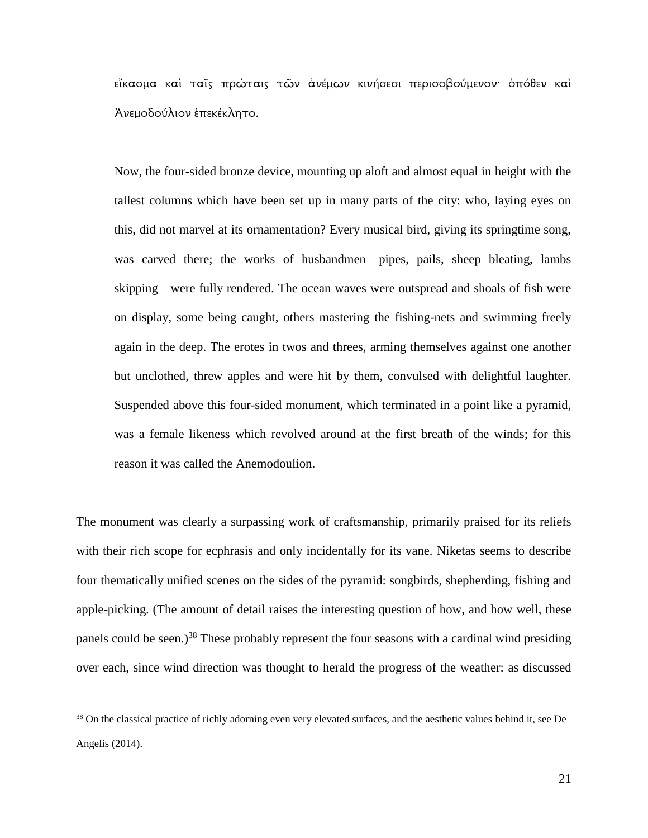εἴκασμα καὶ ταῖς πρώταις τῶν ἀνέμων κινήσεσι περισοβούμενον· ὁπόθεν καὶ Άνεμοδούλιον έπεκέκλητο.

Now, the four-sided bronze device, mounting up aloft and almost equal in height with the tallest columns which have been set up in many parts of the city: who, laying eyes on this, did not marvel at its ornamentation? Every musical bird, giving its springtime song, was carved there; the works of husbandmen—pipes, pails, sheep bleating, lambs skipping—were fully rendered. The ocean waves were outspread and shoals of fish were on display, some being caught, others mastering the fishing-nets and swimming freely again in the deep. The erotes in twos and threes, arming themselves against one another but unclothed, threw apples and were hit by them, convulsed with delightful laughter. Suspended above this four-sided monument, which terminated in a point like a pyramid, was a female likeness which revolved around at the first breath of the winds; for this reason it was called the Anemodoulion.

The monument was clearly a surpassing work of craftsmanship, primarily praised for its reliefs with their rich scope for ecphrasis and only incidentally for its vane. Niketas seems to describe four thematically unified scenes on the sides of the pyramid: songbirds, shepherding, fishing and apple-picking. (The amount of detail raises the interesting question of how, and how well, these panels could be seen.)<sup>38</sup> These probably represent the four seasons with a cardinal wind presiding over each, since wind direction was thought to herald the progress of the weather: as discussed

<sup>&</sup>lt;sup>38</sup> On the classical practice of richly adorning even very elevated surfaces, and the aesthetic values behind it, see De Angelis (2014).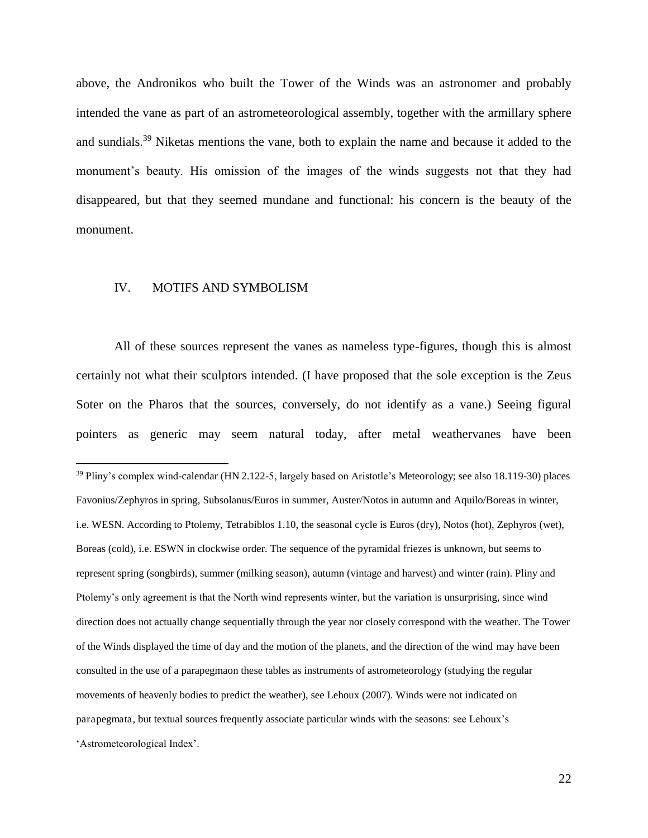above, the Andronikos who built the Tower of the Winds was an astronomer and probably intended the vane as part of an astrometeorological assembly, together with the armillary sphere and sundials.<sup>39</sup> Niketas mentions the vane, both to explain the name and because it added to the monument's beauty. His omission of the images of the winds suggests not that they had disappeared, but that they seemed mundane and functional: his concern is the beauty of the monument.

#### IV. MOTIFS AND SYMBOLISM

 $\overline{a}$ 

All of these sources represent the vanes as nameless type-figures, though this is almost certainly not what their sculptors intended. (I have proposed that the sole exception is the Zeus Soter on the Pharos that the sources, conversely, do not identify as a vane.) Seeing figural pointers as generic may seem natural today, after metal weathervanes have been

<sup>39</sup> Pliny's complex wind-calendar (HN 2.122-5, largely based on Aristotle's Meteorology; see also 18.119-30) places Favonius/Zephyros in spring, Subsolanus/Euros in summer, Auster/Notos in autumn and Aquilo/Boreas in winter, i.e. WESN. According to Ptolemy, Tetrabiblos 1.10, the seasonal cycle is Euros (dry), Notos (hot), Zephyros (wet), Boreas (cold), i.e. ESWN in clockwise order. The sequence of the pyramidal friezes is unknown, but seems to represent spring (songbirds), summer (milking season), autumn (vintage and harvest) and winter (rain). Pliny and Ptolemy's only agreement is that the North wind represents winter, but the variation is unsurprising, since wind direction does not actually change sequentially through the year nor closely correspond with the weather. The Tower of the Winds displayed the time of day and the motion of the planets, and the direction of the wind may have been consulted in the use of a parapegmaon these tables as instruments of astrometeorology (studying the regular movements of heavenly bodies to predict the weather), see Lehoux (2007). Winds were not indicated on parapegmata, but textual sources frequently associate particular winds with the seasons: see Lehoux's 'Astrometeorological Index'.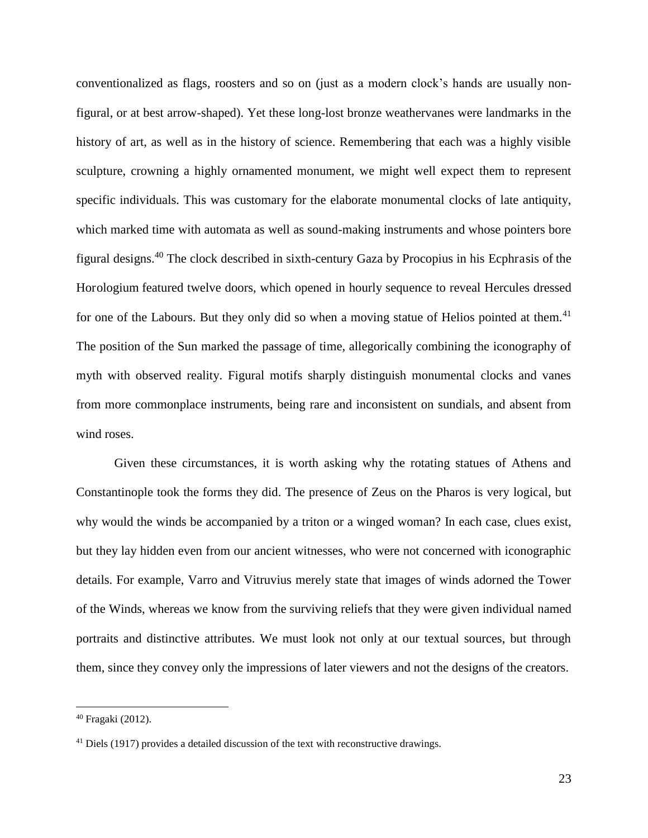conventionalized as flags, roosters and so on (just as a modern clock's hands are usually nonfigural, or at best arrow-shaped). Yet these long-lost bronze weathervanes were landmarks in the history of art, as well as in the history of science. Remembering that each was a highly visible sculpture, crowning a highly ornamented monument, we might well expect them to represent specific individuals. This was customary for the elaborate monumental clocks of late antiquity, which marked time with automata as well as sound-making instruments and whose pointers bore figural designs.<sup>40</sup> The clock described in sixth-century Gaza by Procopius in his Ecphrasis of the Horologium featured twelve doors, which opened in hourly sequence to reveal Hercules dressed for one of the Labours. But they only did so when a moving statue of Helios pointed at them.<sup>41</sup> The position of the Sun marked the passage of time, allegorically combining the iconography of myth with observed reality. Figural motifs sharply distinguish monumental clocks and vanes from more commonplace instruments, being rare and inconsistent on sundials, and absent from wind roses.

Given these circumstances, it is worth asking why the rotating statues of Athens and Constantinople took the forms they did. The presence of Zeus on the Pharos is very logical, but why would the winds be accompanied by a triton or a winged woman? In each case, clues exist, but they lay hidden even from our ancient witnesses, who were not concerned with iconographic details. For example, Varro and Vitruvius merely state that images of winds adorned the Tower of the Winds, whereas we know from the surviving reliefs that they were given individual named portraits and distinctive attributes. We must look not only at our textual sources, but through them, since they convey only the impressions of later viewers and not the designs of the creators.

<sup>40</sup> Fragaki (2012).

 $41$  Diels (1917) provides a detailed discussion of the text with reconstructive drawings.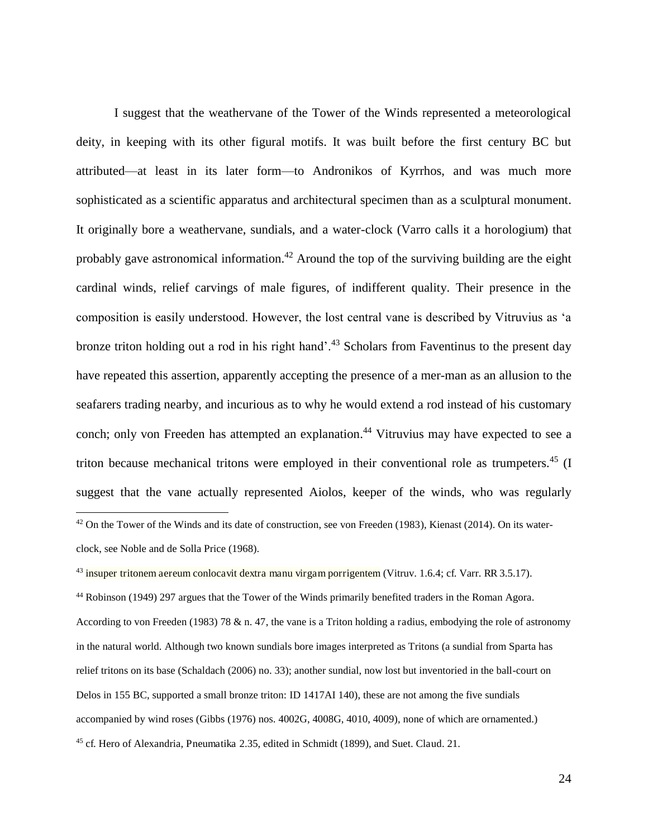I suggest that the weathervane of the Tower of the Winds represented a meteorological deity, in keeping with its other figural motifs. It was built before the first century BC but attributed—at least in its later form—to Andronikos of Kyrrhos, and was much more sophisticated as a scientific apparatus and architectural specimen than as a sculptural monument. It originally bore a weathervane, sundials, and a water-clock (Varro calls it a horologium) that probably gave astronomical information.<sup>42</sup> Around the top of the surviving building are the eight cardinal winds, relief carvings of male figures, of indifferent quality. Their presence in the composition is easily understood. However, the lost central vane is described by Vitruvius as 'a bronze triton holding out a rod in his right hand'.<sup>43</sup> Scholars from Faventinus to the present day have repeated this assertion, apparently accepting the presence of a mer-man as an allusion to the seafarers trading nearby, and incurious as to why he would extend a rod instead of his customary conch; only von Freeden has attempted an explanation.<sup>44</sup> Vitruvius may have expected to see a triton because mechanical tritons were employed in their conventional role as trumpeters.<sup>45</sup> (I suggest that the vane actually represented Aiolos, keeper of the winds, who was regularly

 $\overline{a}$ 

<sup>44</sup> Robinson (1949) 297 argues that the Tower of the Winds primarily benefited traders in the Roman Agora. According to von Freeden (1983) 78 & n. 47, the vane is a Triton holding a radius, embodying the role of astronomy in the natural world. Although two known sundials bore images interpreted as Tritons (a sundial from Sparta has relief tritons on its base (Schaldach (2006) no. 33); another sundial, now lost but inventoried in the ball-court on Delos in 155 BC, supported a small bronze triton: ID 1417AI 140), these are not among the five sundials accompanied by wind roses (Gibbs (1976) nos. 4002G, 4008G, 4010, 4009), none of which are ornamented.) 45 cf. Hero of Alexandria, Pneumatika 2.35, edited in Schmidt (1899), and Suet. Claud. 21.

 $42$  On the Tower of the Winds and its date of construction, see von Freeden (1983), Kienast (2014). On its waterclock, see Noble and de Solla Price (1968).

<sup>&</sup>lt;sup>43</sup> insuper tritonem aereum conlocavit dextra manu virgam porrigentem (Vitruv. 1.6.4; cf. Varr. RR 3.5.17).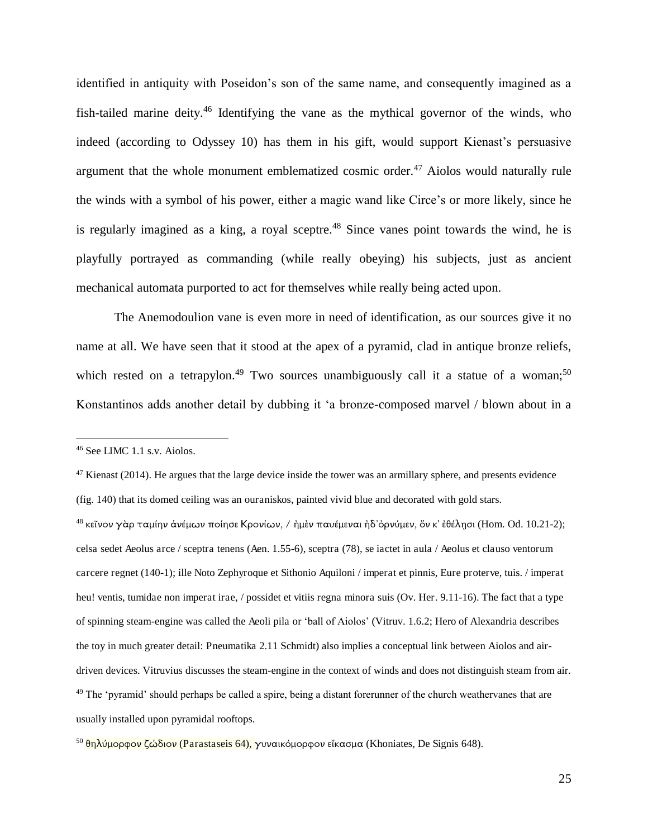identified in antiquity with Poseidon's son of the same name, and consequently imagined as a fish-tailed marine deity.<sup>46</sup> Identifying the vane as the mythical governor of the winds, who indeed (according to Odyssey 10) has them in his gift, would support Kienast's persuasive argument that the whole monument emblematized cosmic order.<sup>47</sup> Aiolos would naturally rule the winds with a symbol of his power, either a magic wand like Circe's or more likely, since he is regularly imagined as a king, a royal sceptre.<sup>48</sup> Since vanes point towards the wind, he is playfully portrayed as commanding (while really obeying) his subjects, just as ancient mechanical automata purported to act for themselves while really being acted upon.

The Anemodoulion vane is even more in need of identification, as our sources give it no name at all. We have seen that it stood at the apex of a pyramid, clad in antique bronze reliefs, which rested on a tetrapylon.<sup>49</sup> Two sources unambiguously call it a statue of a woman;<sup>50</sup> Konstantinos adds another detail by dubbing it 'a bronze-composed marvel / blown about in a

<sup>46</sup> See LIMC 1.1 s.v. Aiolos.

 $47$  Kienast (2014). He argues that the large device inside the tower was an armillary sphere, and presents evidence

<sup>(</sup>fig. 140) that its domed ceiling was an ouraniskos, painted vivid blue and decorated with gold stars.

 $^{48}$  κεῖνον γὰρ ταμίην ἀνέμων ποίησε Κρονίων, / ἠμὲν παυέμεναι ἠδ'ὀρνύμεν, ὅν κ' ἐθέλησι (Hom. Od. 10.21-2); celsa sedet Aeolus arce / sceptra tenens (Aen. 1.55-6), sceptra (78), se iactet in aula / Aeolus et clauso ventorum carcere regnet (140-1); ille Noto Zephyroque et Sithonio Aquiloni / imperat et pinnis, Eure proterve, tuis. / imperat heu! ventis, tumidae non imperat irae, / possidet et vitiis regna minora suis (Ov. Her. 9.11-16). The fact that a type of spinning steam-engine was called the Aeoli pila or 'ball of Aiolos' (Vitruv. 1.6.2; Hero of Alexandria describes the toy in much greater detail: Pneumatika 2.11 Schmidt) also implies a conceptual link between Aiolos and airdriven devices. Vitruvius discusses the steam-engine in the context of winds and does not distinguish steam from air. <sup>49</sup> The 'pyramid' should perhaps be called a spire, being a distant forerunner of the church weathervanes that are usually installed upon pyramidal rooftops.

 $50 \theta n \lambda$ ύμορφον ζώδιον (Parastaseis 64), γυναικόμορφον εἴκασμα (Khoniates, De Signis 648).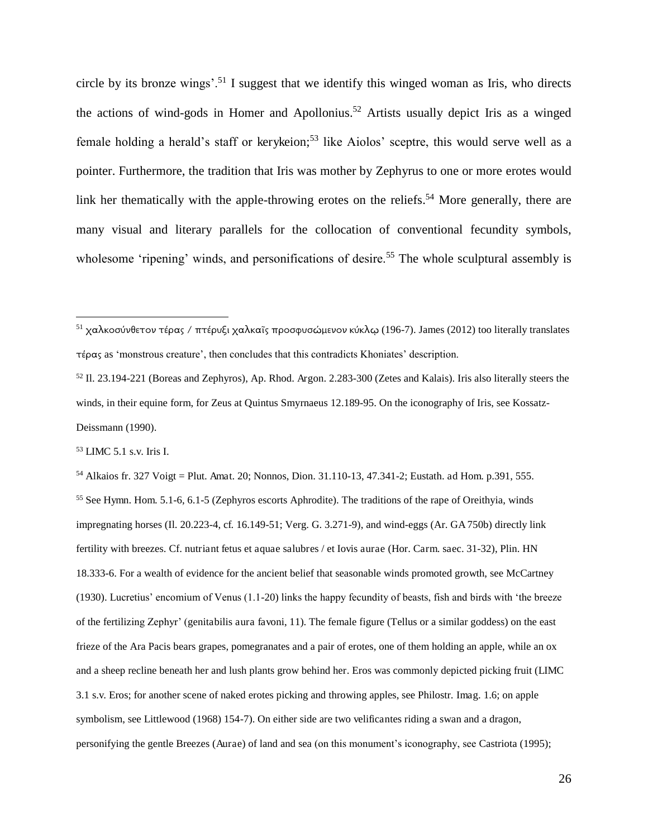circle by its bronze wings'.<sup>51</sup> I suggest that we identify this winged woman as Iris, who directs the actions of wind-gods in Homer and Apollonius.<sup>52</sup> Artists usually depict Iris as a winged female holding a herald's staff or kerykeion;<sup>53</sup> like Aiolos' sceptre, this would serve well as a pointer. Furthermore, the tradition that Iris was mother by Zephyrus to one or more erotes would link her thematically with the apple-throwing erotes on the reliefs.<sup>54</sup> More generally, there are many visual and literary parallels for the collocation of conventional fecundity symbols, wholesome 'ripening' winds, and personifications of desire.<sup>55</sup> The whole sculptural assembly is

<sup>53</sup> LIMC 5.1 s.v. Iris I.

 $\overline{a}$ 

<sup>54</sup> Alkaios fr. 327 Voigt = Plut. Amat. 20; Nonnos, Dion. 31.110-13, 47.341-2; Eustath. ad Hom. p.391, 555. <sup>55</sup> See Hymn. Hom. 5.1-6, 6.1-5 (Zephyros escorts Aphrodite). The traditions of the rape of Oreithyia, winds impregnating horses (Il. 20.223-4, cf. 16.149-51; Verg. G. 3.271-9), and wind-eggs (Ar. GA 750b) directly link fertility with breezes. Cf. nutriant fetus et aquae salubres / et Iovis aurae (Hor. Carm. saec. 31-32), Plin. HN 18.333-6. For a wealth of evidence for the ancient belief that seasonable winds promoted growth, see McCartney (1930). Lucretius' encomium of Venus (1.1-20) links the happy fecundity of beasts, fish and birds with 'the breeze of the fertilizing Zephyr' (genitabilis aura favoni, 11). The female figure (Tellus or a similar goddess) on the east frieze of the Ara Pacis bears grapes, pomegranates and a pair of erotes, one of them holding an apple, while an ox and a sheep recline beneath her and lush plants grow behind her. Eros was commonly depicted picking fruit (LIMC 3.1 s.v. Eros; for another scene of naked erotes picking and throwing apples, see Philostr. Imag. 1.6; on apple symbolism, see Littlewood (1968) 154-7). On either side are two velificantes riding a swan and a dragon, personifying the gentle Breezes (Aurae) of land and sea (on this monument's iconography, see Castriota (1995);

<sup>&</sup>lt;sup>51</sup> χαλκοσύνθετον τέρας / πτέρυξι χαλκαΐς προσφυσώμενον κύκλω (196-7). James (2012) too literally translates  $\tau \notin \rho \circ \tau$  as 'monstrous creature', then concludes that this contradicts Khoniates' description.

<sup>52</sup> Il. 23.194-221 (Boreas and Zephyros), Ap. Rhod. Argon. 2.283-300 (Zetes and Kalais). Iris also literally steers the winds, in their equine form, for Zeus at Quintus Smyrnaeus 12.189-95. On the iconography of Iris, see Kossatz-Deissmann (1990).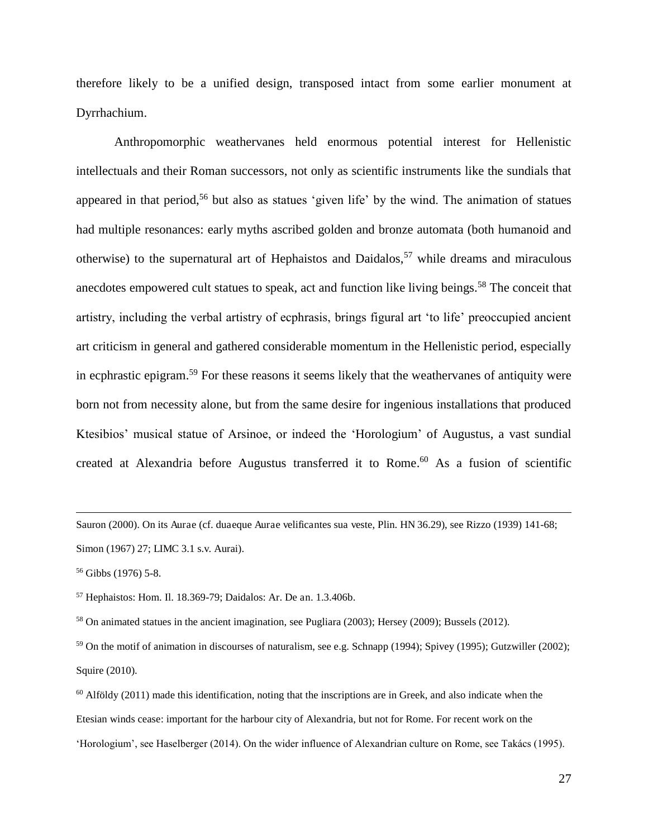therefore likely to be a unified design, transposed intact from some earlier monument at Dyrrhachium.

Anthropomorphic weathervanes held enormous potential interest for Hellenistic intellectuals and their Roman successors, not only as scientific instruments like the sundials that appeared in that period,<sup>56</sup> but also as statues 'given life' by the wind. The animation of statues had multiple resonances: early myths ascribed golden and bronze automata (both humanoid and otherwise) to the supernatural art of Hephaistos and Daidalos,<sup>57</sup> while dreams and miraculous anecdotes empowered cult statues to speak, act and function like living beings.<sup>58</sup> The conceit that artistry, including the verbal artistry of ecphrasis, brings figural art 'to life' preoccupied ancient art criticism in general and gathered considerable momentum in the Hellenistic period, especially in ecphrastic epigram.<sup>59</sup> For these reasons it seems likely that the weathervanes of antiquity were born not from necessity alone, but from the same desire for ingenious installations that produced Ktesibios' musical statue of Arsinoe, or indeed the 'Horologium' of Augustus, a vast sundial created at Alexandria before Augustus transferred it to Rome.<sup>60</sup> As a fusion of scientific

Sauron (2000). On its Aurae (cf. duaeque Aurae velificantes sua veste, Plin. HN 36.29), see Rizzo (1939) 141-68; Simon (1967) 27; LIMC 3.1 s.v. Aurai).

 $\overline{a}$ 

<sup>58</sup> On animated statues in the ancient imagination, see Pugliara (2003); Hersey (2009); Bussels (2012).

<sup>59</sup> On the motif of animation in discourses of naturalism, see e.g. Schnapp (1994); Spivey (1995); Gutzwiller (2002); Squire (2010).

<sup>56</sup> Gibbs (1976) 5-8.

<sup>57</sup> Hephaistos: Hom. Il. 18.369-79; Daidalos: Ar. De an. 1.3.406b.

 $60$  Alföldy (2011) made this identification, noting that the inscriptions are in Greek, and also indicate when the Etesian winds cease: important for the harbour city of Alexandria, but not for Rome. For recent work on the 'Horologium', see Haselberger (2014). On the wider influence of Alexandrian culture on Rome, see Takács (1995).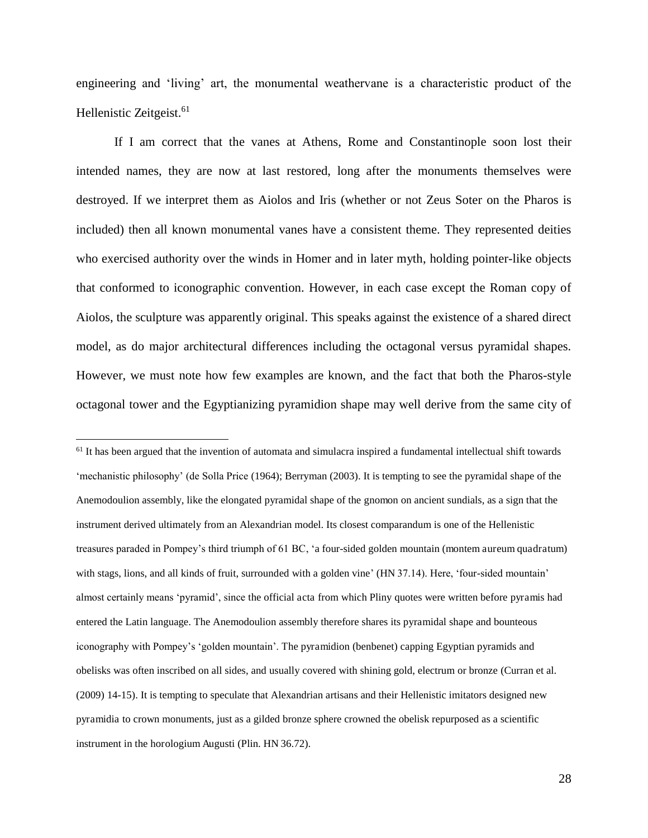engineering and 'living' art, the monumental weathervane is a characteristic product of the Hellenistic Zeitgeist.<sup>61</sup>

If I am correct that the vanes at Athens, Rome and Constantinople soon lost their intended names, they are now at last restored, long after the monuments themselves were destroyed. If we interpret them as Aiolos and Iris (whether or not Zeus Soter on the Pharos is included) then all known monumental vanes have a consistent theme. They represented deities who exercised authority over the winds in Homer and in later myth, holding pointer-like objects that conformed to iconographic convention. However, in each case except the Roman copy of Aiolos, the sculpture was apparently original. This speaks against the existence of a shared direct model, as do major architectural differences including the octagonal versus pyramidal shapes. However, we must note how few examples are known, and the fact that both the Pharos-style octagonal tower and the Egyptianizing pyramidion shape may well derive from the same city of

 $<sup>61</sup>$  It has been argued that the invention of automata and simulacra inspired a fundamental intellectual shift towards</sup> 'mechanistic philosophy' (de Solla Price (1964); Berryman (2003). It is tempting to see the pyramidal shape of the Anemodoulion assembly, like the elongated pyramidal shape of the gnomon on ancient sundials, as a sign that the instrument derived ultimately from an Alexandrian model. Its closest comparandum is one of the Hellenistic treasures paraded in Pompey's third triumph of 61 BC, 'a four-sided golden mountain (montem aureum quadratum) with stags, lions, and all kinds of fruit, surrounded with a golden vine' (HN 37.14). Here, 'four-sided mountain' almost certainly means 'pyramid', since the official acta from which Pliny quotes were written before pyramis had entered the Latin language. The Anemodoulion assembly therefore shares its pyramidal shape and bounteous iconography with Pompey's 'golden mountain'. The pyramidion (benbenet) capping Egyptian pyramids and obelisks was often inscribed on all sides, and usually covered with shining gold, electrum or bronze (Curran et al. (2009) 14-15). It is tempting to speculate that Alexandrian artisans and their Hellenistic imitators designed new pyramidia to crown monuments, just as a gilded bronze sphere crowned the obelisk repurposed as a scientific instrument in the horologium Augusti (Plin. HN 36.72).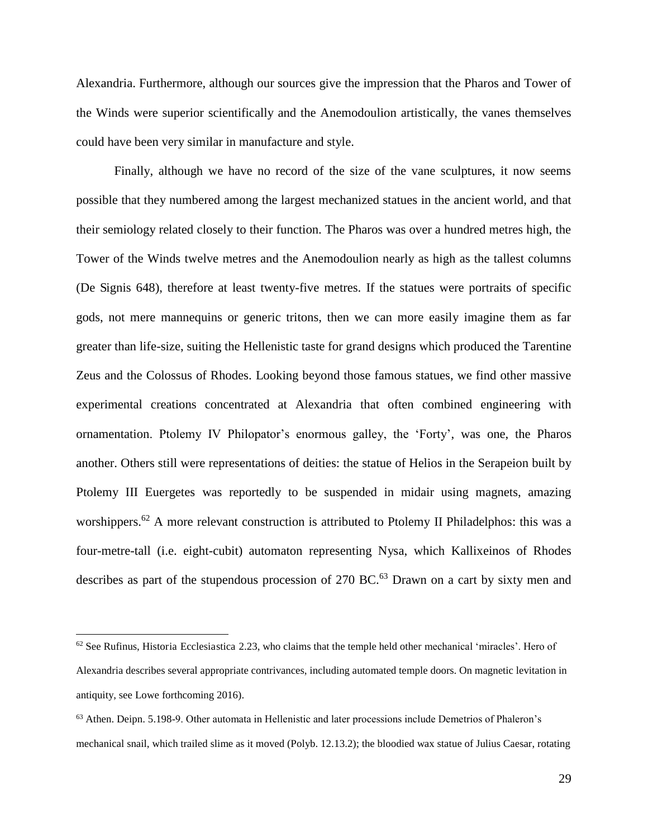Alexandria. Furthermore, although our sources give the impression that the Pharos and Tower of the Winds were superior scientifically and the Anemodoulion artistically, the vanes themselves could have been very similar in manufacture and style.

Finally, although we have no record of the size of the vane sculptures, it now seems possible that they numbered among the largest mechanized statues in the ancient world, and that their semiology related closely to their function. The Pharos was over a hundred metres high, the Tower of the Winds twelve metres and the Anemodoulion nearly as high as the tallest columns (De Signis 648), therefore at least twenty-five metres. If the statues were portraits of specific gods, not mere mannequins or generic tritons, then we can more easily imagine them as far greater than life-size, suiting the Hellenistic taste for grand designs which produced the Tarentine Zeus and the Colossus of Rhodes. Looking beyond those famous statues, we find other massive experimental creations concentrated at Alexandria that often combined engineering with ornamentation. Ptolemy IV Philopator's enormous galley, the 'Forty', was one, the Pharos another. Others still were representations of deities: the statue of Helios in the Serapeion built by Ptolemy III Euergetes was reportedly to be suspended in midair using magnets, amazing worshippers.<sup>62</sup> A more relevant construction is attributed to Ptolemy II Philadelphos: this was a four-metre-tall (i.e. eight-cubit) automaton representing Nysa, which Kallixeinos of Rhodes describes as part of the stupendous procession of 270 BC.<sup>63</sup> Drawn on a cart by sixty men and

 $62$  See Rufinus, Historia Ecclesiastica 2.23, who claims that the temple held other mechanical 'miracles'. Hero of Alexandria describes several appropriate contrivances, including automated temple doors. On magnetic levitation in antiquity, see Lowe forthcoming 2016).

<sup>63</sup> Athen. Deipn. 5.198-9. Other automata in Hellenistic and later processions include Demetrios of Phaleron's mechanical snail, which trailed slime as it moved (Polyb. 12.13.2); the bloodied wax statue of Julius Caesar, rotating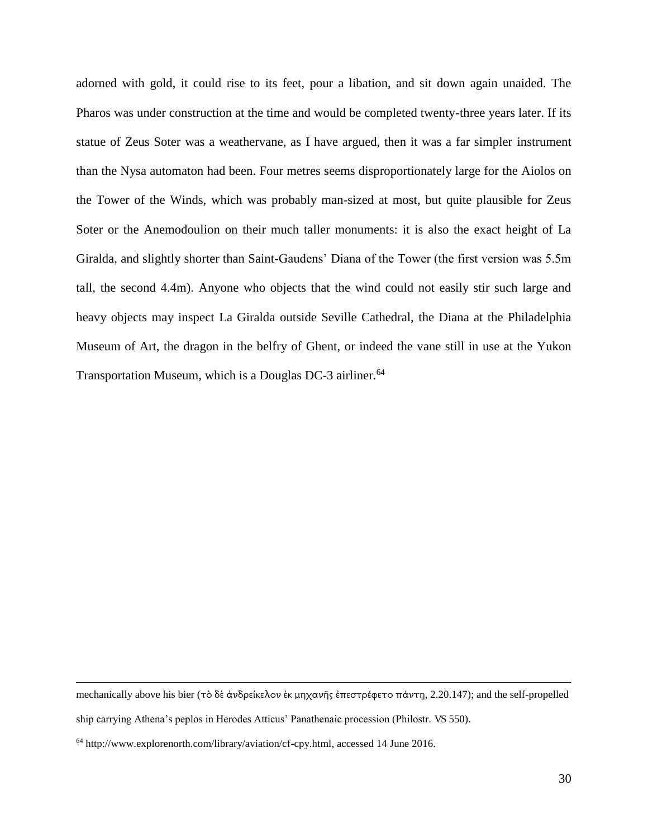adorned with gold, it could rise to its feet, pour a libation, and sit down again unaided. The Pharos was under construction at the time and would be completed twenty-three years later. If its statue of Zeus Soter was a weathervane, as I have argued, then it was a far simpler instrument than the Nysa automaton had been. Four metres seems disproportionately large for the Aiolos on the Tower of the Winds, which was probably man-sized at most, but quite plausible for Zeus Soter or the Anemodoulion on their much taller monuments: it is also the exact height of La Giralda, and slightly shorter than Saint-Gaudens' Diana of the Tower (the first version was 5.5m tall, the second 4.4m). Anyone who objects that the wind could not easily stir such large and heavy objects may inspect La Giralda outside Seville Cathedral, the Diana at the Philadelphia Museum of Art, the dragon in the belfry of Ghent, or indeed the vane still in use at the Yukon Transportation Museum, which is a Douglas DC-3 airliner.<sup>64</sup>

mechanically above his bier (τὸ δὲ ἀνδρείκελον ἐκ μηχανῆς ἐπεστρέφετο πάντη, 2.20.147); and the self-propelled

ship carrying Athena's peplos in Herodes Atticus' Panathenaic procession (Philostr. VS 550).

 $64$  http://www.explorenorth.com/library/aviation/cf-cpy.html, accessed 14 June 2016.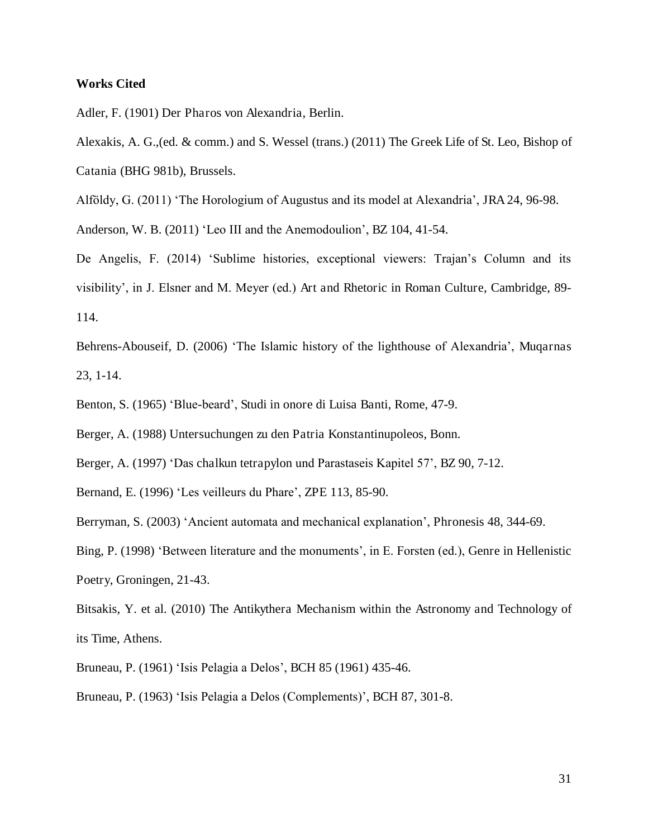#### **Works Cited**

Adler, F. (1901) Der Pharos von Alexandria, Berlin.

Alexakis, A. G.,(ed. & comm.) and S. Wessel (trans.) (2011) The Greek Life of St. Leo, Bishop of Catania (BHG 981b), Brussels.

Alföldy, G. (2011) 'The Horologium of Augustus and its model at Alexandria', JRA 24, 96-98.

Anderson, W. B. (2011) 'Leo III and the Anemodoulion', BZ 104, 41-54.

De Angelis, F. (2014) 'Sublime histories, exceptional viewers: Trajan's Column and its visibility', in J. Elsner and M. Meyer (ed.) Art and Rhetoric in Roman Culture, Cambridge, 89- 114.

Behrens-Abouseif, D. (2006) 'The Islamic history of the lighthouse of Alexandria', Muqarnas 23, 1-14.

Benton, S. (1965) 'Blue-beard', Studi in onore di Luisa Banti, Rome, 47-9.

Berger, A. (1988) Untersuchungen zu den Patria Konstantinupoleos, Bonn.

Berger, A. (1997) 'Das chalkun tetrapylon und Parastaseis Kapitel 57', BZ 90, 7-12.

Bernand, E. (1996) 'Les veilleurs du Phare', ZPE 113, 85-90.

Berryman, S. (2003) 'Ancient automata and mechanical explanation', Phronesis 48, 344-69.

Bing, P. (1998) 'Between literature and the monuments', in E. Forsten (ed.), Genre in Hellenistic Poetry, Groningen, 21-43.

Bitsakis, Y. et al. (2010) The Antikythera Mechanism within the Astronomy and Technology of its Time, Athens.

Bruneau, P. (1961) 'Isis Pelagia a Delos', BCH 85 (1961) 435-46.

Bruneau, P. (1963) 'Isis Pelagia a Delos (Complements)', BCH 87, 301-8.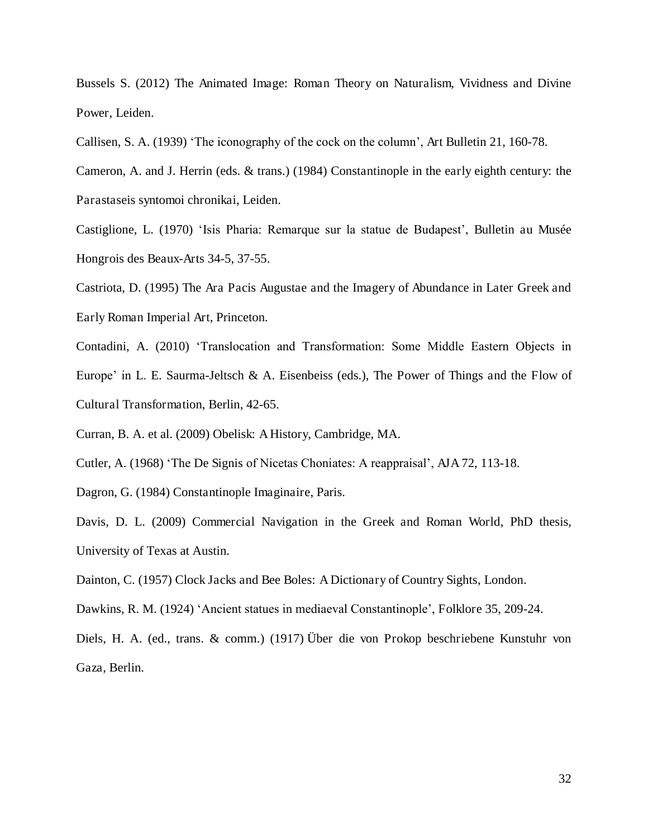Bussels S. (2012) The Animated Image: Roman Theory on Naturalism, Vividness and Divine Power, Leiden.

Callisen, S. A. (1939) 'The iconography of the cock on the column', Art Bulletin 21, 160-78.

Cameron, A. and J. Herrin (eds. & trans.) (1984) Constantinople in the early eighth century: the Parastaseis syntomoi chronikai, Leiden.

Castiglione, L. (1970) 'Isis Pharia: Remarque sur la statue de Budapest', Bulletin au Musée Hongrois des Beaux-Arts 34-5, 37-55.

Castriota, D. (1995) The Ara Pacis Augustae and the Imagery of Abundance in Later Greek and Early Roman Imperial Art, Princeton.

Contadini, A. (2010) 'Translocation and Transformation: Some Middle Eastern Objects in Europe' in L. E. Saurma-Jeltsch & A. Eisenbeiss (eds.), The Power of Things and the Flow of Cultural Transformation, Berlin, 42-65.

Curran, B. A. et al. (2009) Obelisk: A History, Cambridge, MA.

Cutler, A. (1968) 'The De Signis of Nicetas Choniates: A reappraisal', AJA 72, 113-18.

Dagron, G. (1984) Constantinople Imaginaire, Paris.

Davis, D. L. (2009) Commercial Navigation in the Greek and Roman World, PhD thesis, University of Texas at Austin.

Dainton, C. (1957) Clock Jacks and Bee Boles: A Dictionary of Country Sights, London.

Dawkins, R. M. (1924) 'Ancient statues in mediaeval Constantinople', Folklore 35, 209-24.

Diels, H. A. (ed., trans. & comm.) (1917) Über die von Prokop beschriebene Kunstuhr von Gaza, Berlin.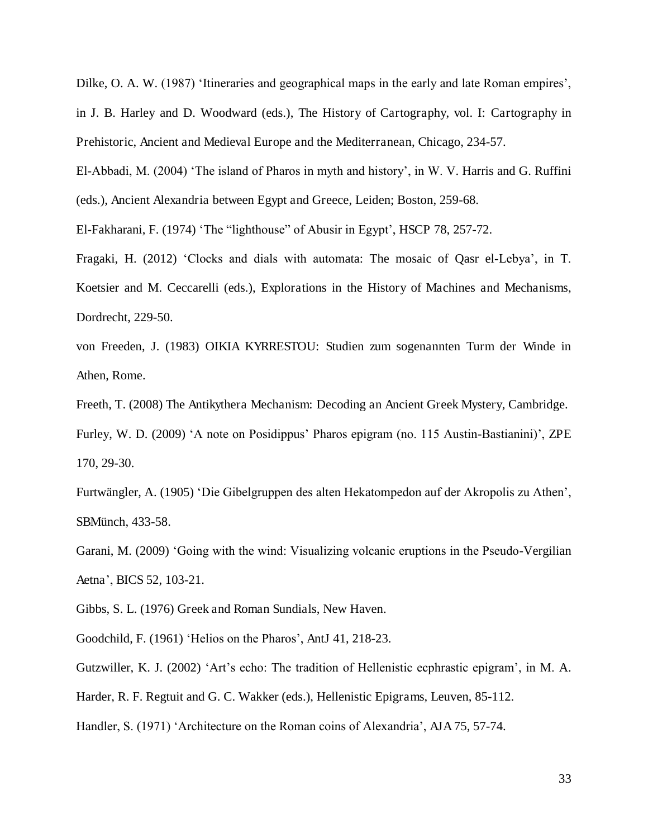Dilke, O. A. W. (1987) 'Itineraries and geographical maps in the early and late Roman empires', in J. B. Harley and D. Woodward (eds.), The History of Cartography, vol. I: Cartography in Prehistoric, Ancient and Medieval Europe and the Mediterranean, Chicago, 234-57.

El-Abbadi, M. (2004) 'The island of Pharos in myth and history', in W. V. Harris and G. Ruffini (eds.), Ancient Alexandria between Egypt and Greece, Leiden; Boston, 259-68.

El-Fakharani, F. (1974) 'The "lighthouse" of Abusir in Egypt', HSCP 78, 257-72.

Fragaki, H. (2012) 'Clocks and dials with automata: The mosaic of Qasr el-Lebya', in T. Koetsier and M. Ceccarelli (eds.), Explorations in the History of Machines and Mechanisms, Dordrecht, 229-50.

von Freeden, J. (1983) OIKIA KYRRESTOU: Studien zum sogenannten Turm der Winde in Athen, Rome.

Freeth, T. (2008) The Antikythera Mechanism: Decoding an Ancient Greek Mystery, Cambridge.

Furley, W. D. (2009) 'A note on Posidippus' Pharos epigram (no. 115 Austin-Bastianini)', ZPE 170, 29-30.

Furtwängler, A. (1905) 'Die Gibelgruppen des alten Hekatompedon auf der Akropolis zu Athen', SBMünch, 433-58.

Garani, M. (2009) 'Going with the wind: Visualizing volcanic eruptions in the Pseudo-Vergilian Aetna', BICS 52, 103-21.

Gibbs, S. L. (1976) Greek and Roman Sundials, New Haven.

Goodchild, F. (1961) 'Helios on the Pharos', AntJ 41, 218-23.

Gutzwiller, K. J. (2002) 'Art's echo: The tradition of Hellenistic ecphrastic epigram', in M. A.

Harder, R. F. Regtuit and G. C. Wakker (eds.), Hellenistic Epigrams, Leuven, 85-112.

Handler, S. (1971) 'Architecture on the Roman coins of Alexandria', AJA 75, 57-74.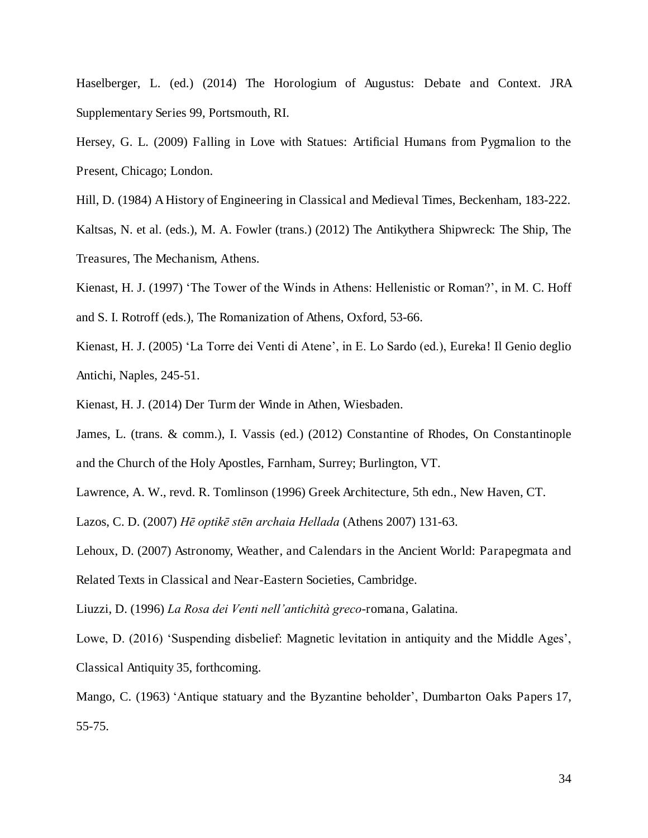Haselberger, L. (ed.) (2014) The Horologium of Augustus: Debate and Context. JRA Supplementary Series 99, Portsmouth, RI.

- Hersey, G. L. (2009) Falling in Love with Statues: Artificial Humans from Pygmalion to the Present, Chicago; London.
- Hill, D. (1984) A History of Engineering in Classical and Medieval Times, Beckenham, 183-222.

Kaltsas, N. et al. (eds.), M. A. Fowler (trans.) (2012) The Antikythera Shipwreck: The Ship, The Treasures, The Mechanism, Athens.

- Kienast, H. J. (1997) 'The Tower of the Winds in Athens: Hellenistic or Roman?', in M. C. Hoff and S. I. Rotroff (eds.), The Romanization of Athens, Oxford, 53-66.
- Kienast, H. J. (2005) 'La Torre dei Venti di Atene', in E. Lo Sardo (ed.), Eureka! Il Genio deglio Antichi, Naples, 245-51.
- Kienast, H. J. (2014) Der Turm der Winde in Athen, Wiesbaden.
- James, L. (trans. & comm.), I. Vassis (ed.) (2012) Constantine of Rhodes, On Constantinople and the Church of the Holy Apostles, Farnham, Surrey; Burlington, VT.
- Lawrence, A. W., revd. R. Tomlinson (1996) Greek Architecture, 5th edn., New Haven, CT.

Lazos, C. D. (2007) *Hē optikē stēn archaia Hellada* (Athens 2007) 131-63.

Lehoux, D. (2007) Astronomy, Weather, and Calendars in the Ancient World: Parapegmata and Related Texts in Classical and Near-Eastern Societies, Cambridge.

Liuzzi, D. (1996) *La Rosa dei Venti nell'antichità greco*-romana, Galatina.

Lowe, D. (2016) 'Suspending disbelief: Magnetic levitation in antiquity and the Middle Ages', Classical Antiquity 35, forthcoming.

Mango, C. (1963) 'Antique statuary and the Byzantine beholder', Dumbarton Oaks Papers 17, 55-75.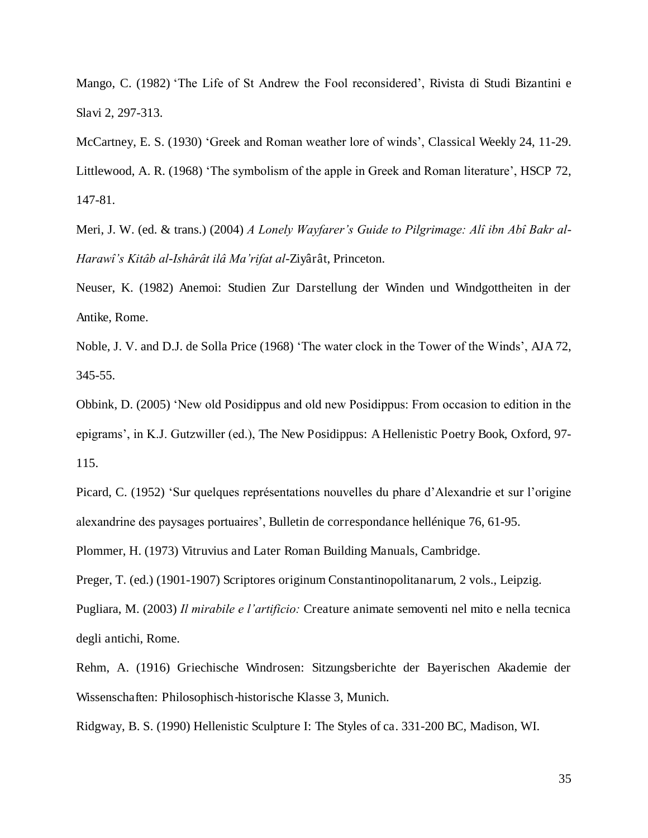Mango, C. (1982) 'The Life of St Andrew the Fool reconsidered', Rivista di Studi Bizantini e Slavi 2, 297-313.

McCartney, E. S. (1930) 'Greek and Roman weather lore of winds', Classical Weekly 24, 11-29.

Littlewood, A. R. (1968) 'The symbolism of the apple in Greek and Roman literature', HSCP 72, 147-81.

Meri, J. W. (ed. & trans.) (2004) *A Lonely Wayfarer's Guide to Pilgrimage: Alî ibn Abî Bakr al*-*Harawî's Kitâb al*-*Ishârât ilâ Ma'rifat al*-Ziyârât, Princeton.

Neuser, K. (1982) Anemoi: Studien Zur Darstellung der Winden und Windgottheiten in der Antike, Rome.

Noble, J. V. and D.J. de Solla Price (1968) 'The water clock in the Tower of the Winds', AJA 72, 345-55.

Obbink, D. (2005) 'New old Posidippus and old new Posidippus: From occasion to edition in the epigrams', in K.J. Gutzwiller (ed.), The New Posidippus: A Hellenistic Poetry Book, Oxford, 97- 115.

Picard, C. (1952) 'Sur quelques représentations nouvelles du phare d'Alexandrie et sur l'origine alexandrine des paysages portuaires', Bulletin de correspondance hellénique 76, 61-95.

Plommer, H. (1973) Vitruvius and Later Roman Building Manuals, Cambridge.

Preger, T. (ed.) (1901-1907) Scriptores originum Constantinopolitanarum, 2 vols., Leipzig.

Pugliara, M. (2003) *Il mirabile e l'artificio:* Creature animate semoventi nel mito e nella tecnica degli antichi, Rome.

Rehm, A. (1916) Griechische Windrosen: Sitzungsberichte der Bayerischen Akademie der Wissenschaften: Philosophisch-historische Klasse 3, Munich.

Ridgway, B. S. (1990) Hellenistic Sculpture I: The Styles of ca. 331-200 BC, Madison, WI.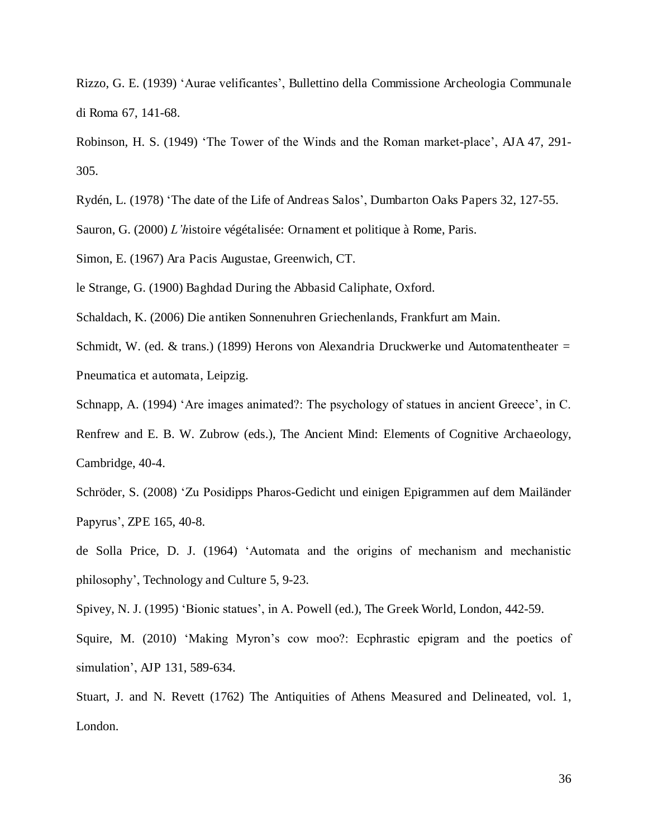Rizzo, G. E. (1939) 'Aurae velificantes', Bullettino della Commissione Archeologia Communale di Roma 67, 141-68.

Robinson, H. S. (1949) 'The Tower of the Winds and the Roman market-place', AJA 47, 291- 305.

Rydén, L. (1978) 'The date of the Life of Andreas Salos', Dumbarton Oaks Papers 32, 127-55.

Sauron, G. (2000) *L'h*istoire végétalisée: Ornament et politique à Rome, Paris.

Simon, E. (1967) Ara Pacis Augustae, Greenwich, CT.

le Strange, G. (1900) Baghdad During the Abbasid Caliphate, Oxford.

Schaldach, K. (2006) Die antiken Sonnenuhren Griechenlands, Frankfurt am Main.

Schmidt, W. (ed. & trans.) (1899) Herons von Alexandria Druckwerke und Automatentheater = Pneumatica et automata, Leipzig.

Schnapp, A. (1994) 'Are images animated?: The psychology of statues in ancient Greece', in C.

Renfrew and E. B. W. Zubrow (eds.), The Ancient Mind: Elements of Cognitive Archaeology, Cambridge, 40-4.

Schröder, S. (2008) 'Zu Posidipps Pharos-Gedicht und einigen Epigrammen auf dem Mailänder Papyrus', ZPE 165, 40-8.

de Solla Price, D. J. (1964) 'Automata and the origins of mechanism and mechanistic philosophy', Technology and Culture 5, 9-23.

Spivey, N. J. (1995) 'Bionic statues', in A. Powell (ed.), The Greek World, London, 442-59.

Squire, M. (2010) 'Making Myron's cow moo?: Ecphrastic epigram and the poetics of simulation', AJP 131, 589-634.

Stuart, J. and N. Revett (1762) The Antiquities of Athens Measured and Delineated, vol. 1, London.